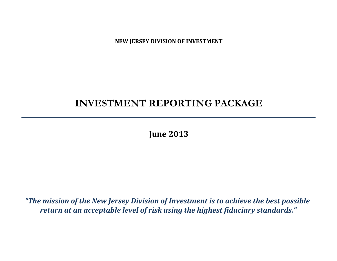**NEW JERSEY DIVISION OF INVESTMENT**

# **INVESTMENT REPORTING PACKAGE**

**June 2013**

*"The mission of the New Jersey Division of Investment is to achieve the best possible return at an acceptable level of risk using the highest fiduciary standards."*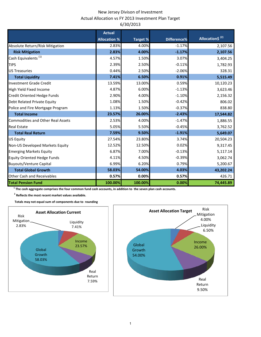# New Jersey Divison of Investment Actual Allocation vs FY 2013 Investment Plan Target 6/30/2013

|                                          | <b>Actual</b>       |                 |             |                             |
|------------------------------------------|---------------------|-----------------|-------------|-----------------------------|
|                                          | <b>Allocation %</b> | <b>Target %</b> | Difference% | Allocation\$ <sup>(2)</sup> |
| Absolute Return/Risk Mitigation          | 2.83%               | 4.00%           | $-1.17%$    | 2,107.56                    |
| <b>Risk Mitigation</b>                   | 2.83%               | 4.00%           | $-1.17%$    | 2,107.56                    |
| Cash Equivalents <sup>(1)</sup>          | 4.57%               | 1.50%           | 3.07%       | 3,404.25                    |
| <b>TIPS</b>                              | 2.39%               | 2.50%           | $-0.11%$    | 1,782.93                    |
| <b>US Treasuries</b>                     | 0.44%               | 2.50%           | $-2.06%$    | 328.31                      |
| <b>Total Liquidity</b>                   | 7.41%               | 6.50%           | 0.91%       | 5,515.49                    |
| <b>Investment Grade Credit</b>           | 13.59%              | 13.00%          | 0.59%       | 10,120.23                   |
| High Yield Fixed Income                  | 4.87%               | 6.00%           | $-1.13%$    | 3,623.46                    |
| Credit Oriented Hedge Funds              | 2.90%               | 4.00%           | $-1.10%$    | 2,156.32                    |
| Debt Related Private Equity              | 1.08%               | 1.50%           | $-0.42%$    | 806.02                      |
| Police and Fire Mortgage Program         | 1.13%               | 1.50%           | $-0.37%$    | 838.80                      |
| <b>Total Income</b>                      | 23.57%              | 26.00%          | $-2.43%$    | 17,544.82                   |
| <b>Commodities and Other Real Assets</b> | 2.53%               | 4.00%           | $-1.47%$    | 1,886.55                    |
| <b>Real Estate</b>                       | 5.05%               | 5.50%           | $-0.45%$    | 3,762.52                    |
| <b>Total Real Return</b>                 | 7.59%               | 9.50%           | $-1.91%$    | 5,649.07                    |
| <b>US Equity</b>                         | 27.54%              | 23.80%          | 3.74%       | 20,504.23                   |
| Non-US Developed Markets Equity          | 12.52%              | 12.50%          | 0.02%       | 9,317.45                    |
| <b>Emerging Markets Equity</b>           | 6.87%               | 7.00%           | $-0.13%$    | 5,117.14                    |
| <b>Equity Oriented Hedge Funds</b>       | 4.11%               | 4.50%           | $-0.39%$    | 3,062.74                    |
| <b>Buyouts/Venture Capital</b>           | 6.99%               | 6.20%           | 0.79%       | 5,200.67                    |
| <b>Total Global Growth</b>               | 58.03%              | 54.00%          | 4.03%       | 43,202.24                   |
| <b>Other Cash and Receivables</b>        | 0.57%               | 0.00%           | 0.57%       | 426.71                      |
| <b>Total Pension Fund</b>                | 100.00%             | 100.00%         | 0.00%       | 74,445.89                   |

 **1 The cash aggregate comprises the four common fund cash accounts, in addition to the seven plan cash accounts.**

 **2 Reflects the most recent market values available.**

 **Totals may not equal sum of components due to rounding**



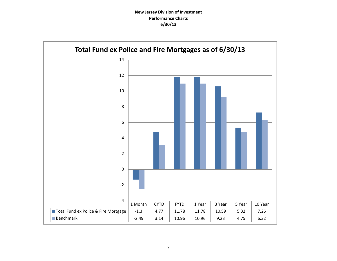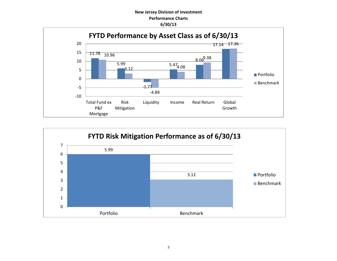## **New Jersey Division of Investment Performance Charts 6/30/13**



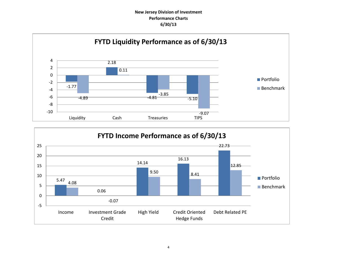# **New Jersey Division of Investment Performance Charts 6/30/13**



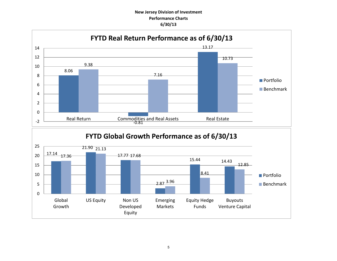# **New Jersey Division of Investment Performance Charts 6/30/13**

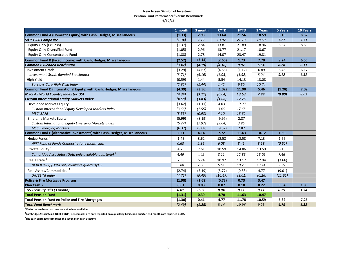#### **New Jersey Division of Investment Pension Fund Performance<sup>1</sup> Versus Benchmark 6/30/13**

|                                                                          | 1 month | 3 month | <b>CYTD</b> | <b>FYTD</b> | 3 Years | 5 Years | 10 Years |
|--------------------------------------------------------------------------|---------|---------|-------------|-------------|---------|---------|----------|
| Common Fund A (Domestic Equity) with Cash, Hedges, Miscellaneous         | (1.33)  | 2.93    | 13.64       | 21.56       | 18.59   | 8.13    | 8.52     |
| S&P 1500 Composite                                                       | (1.34)  | 2.79    | 13.97       | 21.13       | 18.60   | 7.27    | 7.71     |
| Equity Only (Ex Cash)                                                    | (1.37)  | 2.84    | 13.81       | 21.89       | 18.96   | 8.34    | 8.63     |
| Equity Only-Diversified Fund                                             | (1.05)  | 2.96    | 13.77       | 21.17       | 18.67   |         |          |
| Equity Only-Concentrated Fund                                            | (1.88)  | 2.78    | 14.07       | 23.47       | 19.81   |         |          |
| Common Fund B (Fixed Income) with Cash, Hedges, Miscellaneous            | (2.52)  | (3.14)  | (2.65)      | 1.73        | 7.70    | 9.24    | 6.55     |
| <b>Common B Blended Benchmark</b>                                        | (3.42)  | (4.19)  | (4.18)      | 0.87        | 6.64    | 8.28    | 6.11     |
| <b>Investment Grade</b>                                                  | (3.29)  | (4.67)  | (4.88)      | (1.12)      | 6.89    | 8.45    | 6.17     |
| Investment Grade Blended Benchmark                                       | (3.71)  | (5.16)  | (6.05)      | (1.92)      | 8.04    | 9.12    | 6.52     |
| High Yield                                                               | (0.59)  | 1.44    | 5.54        | 14.13       | 13.08   |         |          |
| <b>Barclays Corp High Yield Index</b>                                    | (2.62)  | (1.44)  | 1.42        | 9.50        | 10.74   |         |          |
| Common Fund D (International Equity) with Cash, Hedges, Miscellaneous    | (4.39)  | (3.56)  | (1.02)      | 11.90       | 5.46    | (1.28)  | 7.09     |
| <b>MSCI All World Country Index (ex US)</b>                              | (4.34)  | (3.11)  | (0.04)      | 13.63       | 7.99    | (0.80)  | 8.62     |
| <b>Custom International Equity Markets Index</b>                         | (4.58)  | (3.83)  | (1.06)      | 12.76       |         |         |          |
| Developed Markets Equity                                                 | (3.62)  | (1.11)  | 4.03        | 17.77       |         |         |          |
| Custom International Equity Developed Markets Index                      | (3.66)  | (1.55)  | 3.46        | 17.68       |         |         |          |
| <b>MSCI EAFE</b>                                                         | (3.55)  | (0.98)  | 4.10        | 18.62       |         |         |          |
| <b>Emerging Markets Equity</b>                                           | (5.99)  | (8.19)  | (9.97)      | 2.87        |         |         |          |
| Custom International Equity Emerging Markets Index                       | (6.27)  | (7.97)  | (9.04)      | 3.96        |         |         |          |
| <b>MSCI Emerging Markets</b>                                             | (6.37)  | (8.08)  | (9.57)      | 2.87        |         |         |          |
| Common Fund E (Alternative Investments) with Cash, Hedges, Miscellaneous | 2.21    | 4.14    | 7.72        | 11.63       | 10.12   | 1.50    |          |
| Hedge Funds <sup>1</sup>                                                 | 1.45    | 3.62    | 12.58       | 12.58       | 7.13    | 1.66    |          |
| HFRI Fund of Funds Composite (one month lag)                             | 0.63    | 2.36    | 6.08        | 8.41        | 3.18    | (0.51)  |          |
| Private Equity <sup>1</sup>                                              | 4.76    | 7.61    | 10.59       | 14.86       | 13.59   | 6.18    |          |
| Cambridge Associates (Data only available quarterly) <sup>2</sup>        | 4.49    | 4.49    | 8.11        | 12.85       | 15.09   | 7.46    |          |
| Real Estate <sup>1</sup>                                                 | 2.38    | 5.24    | 10.97       | 13.17       | 12.94   | (3.66)  |          |
| NCREIF(NPI) (Data only available quarterly) 2                            | 2.88    | 2.88    | 5.51        | 10.73       | 13.14   | 2.79    |          |
| Real Assets/Commodities <sup>1</sup>                                     | (2.74)  | (5.19)  | (5.77)      | (0.88)      | 4.77    | (9.01)  |          |
| <b>DJUBS TR Index</b>                                                    | (4.72)  | (9.45)  | (10.47)     | (8.01)      | (0.26)  | (11.61) |          |
| <b>Police &amp; Fire Mortgage Program</b>                                | (1.98)  | (1.68)  | (0.73)      | 0.73        | 3.47    |         |          |
| Plan Cash 3                                                              | 0.01    | 0.03    | 0.07        | 0.18        | 0.22    | 0.54    | 1.85     |
| <b>US Treasury Bills (3 month)</b>                                       | 0.01    | 0.02    | 0.04        | 0.11        | 0.11    | 0.29    | 1.74     |
| <b>Total Pension Fund</b>                                                | (1.31)  | 0.39    | 4.70        | 11.63       | 10.47   |         |          |
| <b>Total Pension Fund ex Police and Fire Mortgages</b>                   | (1.30)  | 0.41    | 4.77        | 11.78       | 10.59   | 5.32    | 7.26     |
| <b>Total Fund Benchmark</b>                                              | (2.49)  | (1.28)  | 3.14        | 10.96       | 9.23    | 4.75    | 6.32     |

**1 Performance based on most recent values available** 

**2 Cambridge Associates & NCREIF (NPI) Benchmarks are only reported on a quarterly basis, non quarter-end months are reported as 0%**

**3 The cash aggregate comprises the seven plan cash accounts**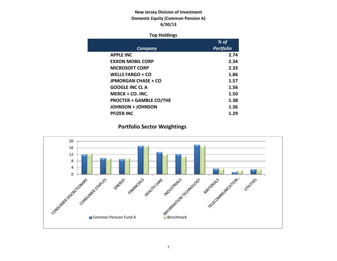# **New Jersey Division of Investment Domestic Equity (Common Pension A) 6/30/13**

## **Top Holdings**

|                                | % of             |
|--------------------------------|------------------|
| Company                        | <b>Portfolio</b> |
| <b>APPLE INC</b>               | 2.74             |
| <b>EXXON MOBIL CORP</b>        | 2.34             |
| <b>MICROSOFT CORP</b>          | 2.33             |
| <b>WELLS FARGO + CO</b>        | 1.86             |
| <b>JPMORGAN CHASE + CO</b>     | 1.57             |
| <b>GOOGLE INC CLA</b>          | 1.56             |
| $MERCK + CO. INC.$             | 1.50             |
| <b>PROCTER + GAMBLE CO/THE</b> | 1.38             |
| <b>JOHNSON + JOHNSON</b>       | 1.36             |
| <b>PFIZER INC</b>              | 1.29             |

# **Portfolio Sector Weightings**

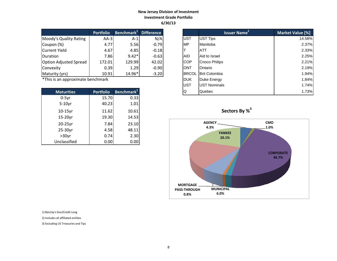# **New Jersey Division of Investment Investment Grade Portfolio 6/30/13**

|                               | <b>Portfolio</b> | Benchmark <sup>1</sup> | <b>Difference</b> |
|-------------------------------|------------------|------------------------|-------------------|
| Moody's Quality Rating        | $AA-3$           | $A-1$                  | N/A               |
| Coupon (%)                    | 4.77             | 5.56                   | $-0.79$           |
| <b>Current Yield</b>          | 4.67             | 4.85                   | $-0.18$           |
| Duration                      | 7.86             | $9.42*$                | $-0.63$           |
| <b>Option Adjusted Spread</b> | 172.01           | 129.99                 | 42.02             |
| Convexity                     | 0.39             | 1.29                   | $-0.90$           |
| Maturity (yrs)                | 10.91            | 14.96*                 | $-3.20$           |

| <b>Maturities</b> | <b>Portfolio</b> | Benchmark <sup>1</sup> |
|-------------------|------------------|------------------------|
| $0-5yr$           | 15.70            | 0.33                   |
| $5-10$ yr         | 40.23            | 1.01                   |
| $10-15$ yr        | 11.62            | 10.61                  |
| 15-20yr           | 19.30            | 14.53                  |
| 20-25yr           | 7.84             | 23.10                  |
| 25-30yr           | 4.58             | 48.11                  |
| $>30$ yr          | 0.74             | 2.30                   |
| Unclassified      | 0.00             | 0.00                   |

|                                   | <b>Portfolio</b> | $ $ Benchmark $^1$     | <b>Difference</b> |              | <b>Issuer Name</b>   | Market Value [%] |
|-----------------------------------|------------------|------------------------|-------------------|--------------|----------------------|------------------|
| Moody's Quality Rating            | $AA-3$           | $A-1$                  | N/A               | <b>UST</b>   | UST Tips             | 14.58%           |
| Coupon (%)                        | 4.77             | 5.56                   | $-0.79$           | <b>MP</b>    | Manitoba             | 2.37%            |
| Current Yield                     | 4.67             | 4.85                   | $-0.18$           |              | ATT                  | 2.33%            |
| Duration                          | 7.86             | $9.42*$                | $-0.63$           | <b>AID</b>   | Aid to Israel        | 2.25%            |
| Option Adjusted Spread            | 172.01           | 129.99                 | 42.02             | <b>COP</b>   | Cnoco Philips        | 2.21%            |
| Convexity                         | 0.39             | 1.29                   | $-0.90$           | <b>ONT</b>   | Ontario              | 2.19%            |
| Maturity (yrs)                    | 10.91            | 14.96*                 | $-3.20$           | <b>BRCOL</b> | <b>Brit Colombia</b> | 1.94%            |
| *This is an approximate benchmark |                  |                        |                   | <b>DUK</b>   | Duke Energy          | 1.84%            |
|                                   |                  |                        |                   | <b>UST</b>   | <b>UST Nominals</b>  | 1.74%            |
| <b>Maturities</b>                 | <b>Portfolio</b> | Benchmark <sup>+</sup> |                   | Q            | Quebec               | 1.73%            |





1) Barclay's Gov/Credit Long

2) Includes all affiliated entities

3) Excluding US Treasuries and Tips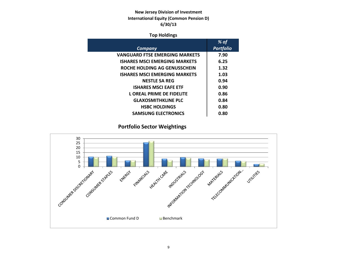# **New Jersey Division of Investment International Equity (Common Pension D) 6/30/13**

## **Top Holdings**

| % of             |
|------------------|
| <b>Portfolio</b> |
| 7.90             |
| 6.25             |
| 1.32             |
| 1.03             |
| 0.94             |
| 0.90             |
| 0.86             |
| 0.84             |
| 0.80             |
| 0.80             |
|                  |

# **Portfolio Sector Weightings**

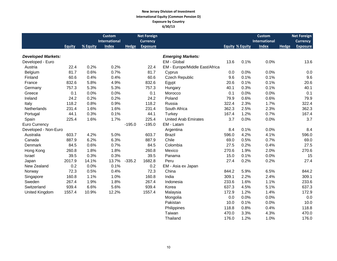#### **New Jersey Division of Investment International Equity (Common Pension D) Exposure by Country 6/30/13**

|                           |               |          | <b>Custom</b>        |              | <b>Net Foreign</b> |                                |       |                        | <b>Custom</b>        |              | <b>Net Foreign</b> |
|---------------------------|---------------|----------|----------------------|--------------|--------------------|--------------------------------|-------|------------------------|----------------------|--------------|--------------------|
|                           |               |          | <b>International</b> |              | <b>Currency</b>    |                                |       |                        | <b>International</b> |              | <b>Currency</b>    |
|                           | <b>Equity</b> | % Equity | <b>Index</b>         | <b>Hedge</b> | <b>Exposure</b>    |                                |       | <b>Equity % Equity</b> | <b>Index</b>         | <b>Hedge</b> | <b>Exposure</b>    |
|                           |               |          |                      |              |                    |                                |       |                        |                      |              |                    |
| <b>Developed Markets:</b> |               |          |                      |              |                    | <b>Emerging Markets:</b>       |       |                        |                      |              |                    |
| Developed - Euro          |               |          |                      |              |                    | EM - Global                    | 13.6  | 0.1%                   | 0.0%                 |              | 13.6               |
| Austria                   | 22.4          | 0.2%     | 0.2%                 |              | 22.4               | EM - Europe/Middle East/Africa |       |                        |                      |              |                    |
| Belgium                   | 81.7          | 0.6%     | 0.7%                 |              | 81.7               | Cyprus                         | 0.0   | 0.0%                   | 0.0%                 |              | 0.0                |
| Finland                   | 60.6          | 0.4%     | 0.4%                 |              | 60.6               | <b>Czech Republic</b>          | 9.6   | 0.1%                   | 0.1%                 |              | 9.6                |
| France                    | 832.6         | 5.8%     | 4.9%                 |              | 832.6              | Egypt                          | 20.6  | 0.1%                   | 0.1%                 |              | 20.6               |
| Germany                   | 757.3         | 5.3%     | 5.3%                 |              | 757.3              | Hungary                        | 40.1  | 0.3%                   | 0.1%                 |              | 40.1               |
| Greece                    | 0.1           | 0.0%     | 0.0%                 |              | 0.1                | Morocco                        | 0.1   | 0.0%                   | 0.0%                 |              | 0.1                |
| Ireland                   | 24.2          | 0.2%     | 0.2%                 |              | 24.2               | Poland                         | 79.9  | 0.6%                   | 0.6%                 |              | 79.9               |
| Italy                     | 118.2         | 0.8%     | 0.9%                 |              | 118.2              | Russia                         | 322.4 | 2.3%                   | 1.7%                 |              | 322.4              |
| Netherlands               | 231.4         | 1.6%     | 1.6%                 |              | 231.4              | South Africa                   | 362.3 | 2.5%                   | 2.3%                 |              | 362.3              |
| Portugal                  | 44.1          | 0.3%     | 0.1%                 |              | 44.1               | Turkey                         | 167.4 | 1.2%                   | 0.7%                 |              | 167.4              |
| Spain                     | 225.4         | 1.6%     | 1.7%                 |              | 225.4              | <b>United Arab Emirates</b>    | 3.7   | 0.0%                   | 0.0%                 |              | 3.7                |
| <b>Euro Currency</b>      |               |          |                      | $-195.0$     | $-195.0$           | EM - Latam                     |       |                        |                      |              |                    |
| Developed - Non-Euro      |               |          |                      |              |                    | Argentina                      | 8.4   | 0.1%                   | 0.0%                 |              | 8.4                |
| Australia                 | 603.7         | 4.2%     | 5.0%                 |              | 603.7              | <b>Brazil</b>                  | 596.0 | 4.2%                   | 4.1%                 |              | 596.0              |
| Canada                    | 887.9         | 6.2%     | 6.3%                 |              | 887.9              | Chile                          | 69.0  | 0.5%                   | 0.7%                 |              | 69.0               |
| Denmark                   | 84.5          | 0.6%     | 0.7%                 |              | 84.5               | Colombia                       | 27.5  | 0.2%                   | 0.4%                 |              | 27.5               |
| Hong Kong                 | 260.8         | 1.8%     | 1.8%                 |              | 260.8              | Mexico                         | 270.6 | 1.9%                   | 2.0%                 |              | 270.6              |
| Israel                    | 39.5          | 0.3%     | 0.3%                 |              | 39.5               | Panama                         | 15.0  | 0.1%                   | 0.0%                 |              | 15                 |
| Japan                     | 2017.9        | 14.1%    | 13.7%                | $-335.2$     | 1682.8             | Peru                           | 27.4  | 0.2%                   | 0.2%                 |              | 27.4               |
| New Zealand               | 0.2           | 0.0%     | 0.1%                 |              | 0.2                | EM - Asia ex Japan             |       |                        |                      |              |                    |
| Norway                    | 72.3          | 0.5%     | 0.4%                 |              | 72.3               | China                          | 844.2 | 5.9%                   | 6.5%                 |              | 844.2              |
| Singapore                 | 160.8         | 1.1%     | 1.0%                 |              | 160.8              | India                          | 309.1 | 2.2%                   | 2.4%                 |              | 309.1              |
| Sweden                    | 267.4         | 1.9%     | 1.8%                 |              | 267.4              | Indonesia                      | 233.6 | 1.6%                   | 1.1%                 |              | 233.6              |
| Switzerland               | 939.4         | 6.6%     | 5.6%                 |              | 939.4              | Korea                          | 637.3 | 4.5%                   | 5.1%                 |              | 637.3              |
| United Kingdom            | 1557.4        | 10.9%    | 12.2%                |              | 1557.4             | Malaysia                       | 172.9 | 1.2%                   | 1.4%                 |              | 172.9              |
|                           |               |          |                      |              |                    | Mongolia                       | 0.0   | 0.0%                   | 0.0%                 |              | 0.0                |
|                           |               |          |                      |              |                    | Pakistan                       | 10.0  | 0.1%                   | 0.0%                 |              | 10.0               |
|                           |               |          |                      |              |                    | Philippines                    | 118.8 | 0.8%                   | 0.4%                 |              | 118.8              |
|                           |               |          |                      |              |                    | Taiwan                         | 470.0 | 3.3%                   | 4.3%                 |              | 470.0              |

Thailand 176.0 1.2% 1.0% 176.0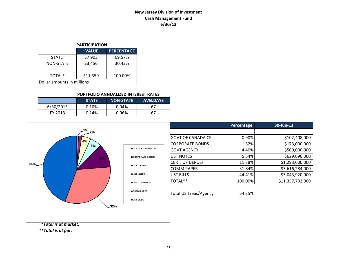# **New Jersey Division of Investment Cash Management Fund 6/30/13**

## **PARTICIPATION**

|                            | <b>VALUE</b> | <b>PERCENTAGE</b> |  |  |  |
|----------------------------|--------------|-------------------|--|--|--|
| <b>STATE</b>               | \$7,903      | 69.57%            |  |  |  |
| <b>NON-STATE</b>           | \$3,456      | 30.43%            |  |  |  |
| TOTAL*                     | \$11,359     | 100.00%           |  |  |  |
| Dollar amounts in millions |              |                   |  |  |  |

#### **PORTFOLIO ANNUALIZED INTEREST RATES**

|           | <b>STATE</b> | <b>NON-STATE</b> | <b>AVG.DAYS</b> |
|-----------|--------------|------------------|-----------------|
| 6/30/2013 | 0.10%        | 0.04%            | 67              |
| FY 2013   | 0.14%        | 0.06%            | 67              |



*\*\*Total is at par.*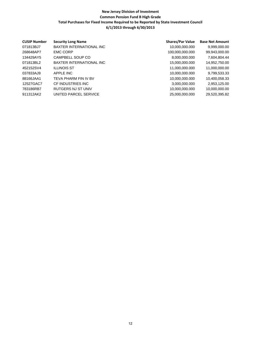## **New Jersey Division of Investment Common Pension Fund B High Grade Total Purchases for Fixed Income Required to be Reported by State Investment Council 6/1/2013 through 6/30/2013**

| <b>CUSIP Number</b> | <b>Security Long Name</b>       | <b>Shares/Par Value</b> | <b>Base Net Amount</b> |
|---------------------|---------------------------------|-------------------------|------------------------|
| 071813BJ7           | BAXTER INTERNATIONAL INC        | 10,000,000.000          | 9,999,000.00           |
| 268648AP7           | <b>EMC CORP</b>                 | 100,000,000.000         | 99,943,000.00          |
| 134429AY5           | CAMPBELL SOUP CO                | 8,000,000.000           | 7,604,804.44           |
| 071813BL2           | <b>BAXTER INTERNATIONAL INC</b> | 15,000,000.000          | 14,952,750.00          |
| 452152SV4           | <b>ILLINOIS ST</b>              | 11,000,000.000          | 11,000,000.00          |
| 037833AJ9           | APPLE INC                       | 10,000,000.000          | 9,799,533.33           |
| 88166JAA1           | TEVA PHARM FIN IV BV            | 10,000,000.000          | 10,400,058.33          |
| 12527GAC7           | CF INDUSTRIES INC               | 3,000,000.000           | 2,953,125.00           |
| 783186RB7           | RUTGERS NJ ST UNIV              | 10,000,000.000          | 10,000,000.00          |
| 911312AK2           | UNITED PARCEL SERVICE           | 25,000,000.000          | 29,520,395.82          |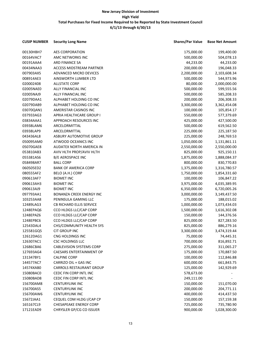| <b>CUSIP NUMBER</b> | <b>Security Long Name</b>                            | <b>Shares/Par Value</b> | <b>Base Net Amount</b> |
|---------------------|------------------------------------------------------|-------------------------|------------------------|
| 00130HBH7           | AES CORPORATION                                      | 175,000.00              | 199,400.00             |
| 00164VAC7           | AMC NETWORKS INC                                     | 500,000.00              | 504,078.13             |
| 00191AAA4           | ARD FINANCE SA                                       | 44,233.00               | 44,233.00              |
| 00434NAA3           | <b>ACCESS MIDSTREAM PARTNER</b>                      | 200,000.00              | 196,048.33             |
| 007903AX5           | ADVANCED MICRO DEVICES                               | 2,200,000.00            | 2,103,608.34           |
| 008914AE3           | AINSWORTH LUMBER LTD                                 | 500,000.00              | 544,973.96             |
| 020002408           | <b>ALLSTATE CORP</b>                                 | 80,000.00               | 2,000,000.00           |
| 02005NAE0           | ALLY FINANCIAL INC                                   | 500,000.00              | 599,555.56             |
| 02005NAJ9           | ALLY FINANCIAL INC                                   | 500,000.00              | 585,208.33             |
| 02079DAA1           | ALPHABET HOLDING CO INC                              | 200,000.00              | 206,308.33             |
| 02079DAB9           | ALPHABET HOLDING CO INC                              | 3,300,000.00            | 3,362,454.08           |
| 03070QAN1           | AMERISTAR CASINOS INC                                | 100,000.00              | 105,854.17             |
| 037933AG3           | APRIA HEALTHCARE GROUP I                             | 550,000.00              | 577,379.69             |
| 03834AAA1           | APPROACH RESOURCES INC                               | 425,000.00              | 427,500.00             |
| 03938LAM6           | ARCELORMITTAL                                        | 500,000.00              | 619,562.50             |
| 03938LAP9           | ARCELORMITTAL                                        | 225,000.00              | 225,187.50             |
| 043436AL8           | ASBURY AUTOMOTIVE GROUP                              | 225,000.00              | 248,769.53             |
| 050095AM0           | ATWOOD OCEANICS INC                                  | 1,050,000.00            |                        |
| 05070GAE8           | AUDATEX NORTH AMERICA IN                             |                         | 1,131,861.11           |
|                     |                                                      | 2,550,000.00            | 2,550,000.00           |
| 053810AB3           | AVIV HLTH PROP/AVIV HLTH<br><b>B/E AEROSPACE INC</b> | 825,000.00              | 925,150.11             |
| 055381AS6           |                                                      | 1,875,000.00            | 1,888,084.37           |
| 058498AR7           | <b>BALL CORP</b>                                     | 800,000.00              | 830,770.83             |
| 060505ED2           | <b>BANK OF AMERICA CORP</b>                          | 1,375,000.00            | 1,316,780.57           |
| 080555AF2           | BELO (A.H.) CORP                                     | 1,750,000.00            | 1,854,331.60           |
| 090613AF7           | <b>BIOMET INC</b>                                    | 100,000.00              | 106,847.22             |
| 090613AH3           | <b>BIOMET INC</b>                                    | 3,975,000.00            | 4,035,389.95           |
| 090613AJ9           | <b>BIOMET INC</b>                                    | 6,350,000.00            | 6,720,005.26           |
| 097793AA1           | BONANZA CREEK ENERGY INC                             | 3,000,000.00            | 3,149,437.50           |
| 103253AA8           | PENINSULA GAMING LLC                                 | 175,000.00              | 188,015.02             |
| 12489LAG3           | CB RICHARD ELLIS SERVICE                             | 1,000,000.00            | 1,073,434.03           |
| 1248EPAQ6           | CCO HLDGS LLC/CAP CORP                               | 1,500,000.00            | 1,616,302.08           |
| 1248EPAZ6           | CCO HLDGS LLC/CAP CORP                               | 150,000.00              | 144,376.56             |
| 1248EPBC6           | CCO HLDGS LLC/CAP CORP                               | 825,000.00              | 827,283.50             |
| 12543DAL4           | CHS/COMMUNITY HEALTH SYS                             | 825,000.00              | 886,279.16             |
| 125581GQ5           | CIT GROUP INC                                        | 3,300,000.00            | 3,474,319.44           |
| 12612DAG1           | CNG HOLDINGS INC                                     | 75,000.00               | 74,445.31              |
| 126307AC1           | <b>CSC HOLDINGS LLC</b>                              | 700,000.00              | 816,892.71             |
| 12686CBA6           | <b>CABLEVISION SYSTEMS CORP</b>                      | 275,000.00              | 311,065.27             |
| 127693AG4           | CAESARS ENTERTAINMENT OP                             | 175,000.00              | 170,887.50             |
| 131347BY1           | <b>CALPINE CORP</b>                                  | 100,000.00              | 112,846.88             |
| 144577AC7           | CARRIZO OIL + GAS INC                                | 600,000.00              | 661,843.75             |
| 14574XAB0           | <b>CARROLS RESTAURANT GROUP</b>                      | 125,000.00              | 142,929.69             |
| 15080BAC0           | CEDC FIN CORP INTL INC                               | 578,673.00              |                        |
| 15080BAD8           | CEDC FIN CORP INTL INC                               | 249,111.00              |                        |
| 156700AM8           | <b>CENTURYLINK INC</b>                               | 150,000.00              | 151,070.00             |
| 156700AS5           | <b>CENTURYLINK INC</b>                               | 200,000.00              | 204,771.11             |
| 156700AW6           | <b>CENTURYLINK INC</b>                               | 400,000.00              | 414,437.50             |
| 15672JAA1           | CEQUEL COM HLDG I/CAP CP                             | 150,000.00              | 157,159.38             |
| 165167CL9           | <b>CHESAPEAKE ENERGY CORP</b>                        | 725,000.00              | 735,780.90             |
| 17121EAD9           | CHRYSLER GP/CG CO ISSUER                             | 900,000.00              | 1,028,300.00           |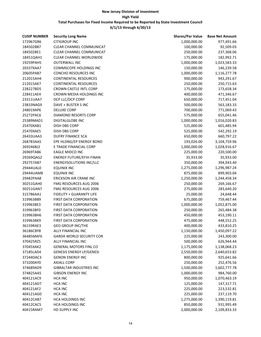| <b>CUSIP NUMBER</b> | <b>Security Long Name</b>       | <b>Shares/Par Value</b> | <b>Base Net Amount</b> |
|---------------------|---------------------------------|-------------------------|------------------------|
| 172967GR6           | <b>CITIGROUP INC</b>            | 1,000,000.00            | 977,491.66             |
| 184502BB7           | CLEAR CHANNEL COMMUNICAT        | 100,000.00              | 92,509.03              |
| 184502BE1           | CLEAR CHANNEL COMMUNICAT        | 250,000.00              | 237,368.06             |
| 18451QAH1           | <b>CLEAR CHANNEL WORLDWIDE</b>  | 175,000.00              | 182,992.71             |
| 19259PAH5           | <b>OUTERWALL INC</b>            | 1,000,000.00            | 1,023,583.33           |
| 20337XAA7           | COMMSCOPE HOLDINGS INC          | 150,000.00              | 146,239.58             |
| 20605PAB7           | CONCHO RESOURCES INC            | 1,000,000.00            | 1,116,277.78           |
| 212015AH4           | <b>CONTINENTAL RESOURCES</b>    | 900,000.00              | 943,291.67             |
| 212015AK7           | <b>CONTINENTAL RESOURCES</b>    | 250,000.00              | 250,715.63             |
| 228227BD5           | <b>CROWN CASTLE INTL CORP</b>   | 175,000.00              | 173,658.34             |
| 228411AE4           | CROWN MEDIA HOLDINGS INC        | 400,000.00              | 471,346.67             |
| 23311UAA7           | DCP LLC/DCP CORP                | 650,000.00              | 717,451.04             |
| 23833NAG9           | DAVE + BUSTER S INC             | 500,000.00              | 563,183.33             |
| 248019AP6           | <b>DELUXE CORP</b>              | 700,000.00              | 771,069.43             |
| 25272PAC6           | DIAMOND RESORTS CORP            | 575,000.00              | 655,041.46             |
| 25389MAD1           | <b>DIGITALGLOBE INC</b>         | 1,000,000.00            | 1,016,020.83           |
| 25470XAB1           | DISH DBS CORP                   | 525,000.00              | 601,485.94             |
| 25470XAE5           | DISH DBS CORP                   | 525,000.00              | 542,292.19             |
| 26433UAA3           | DUFRY FINANCE SCA               | 650,000.00              | 660,797.22             |
| 268783AA5           | EPE HLDNG/EP ENERGY BOND        | 193,026.00              | 3,104,759.96           |
| 269246BJ2           | E TRADE FINANCIAL CORP          | 1,000,000.00            | 1,028,916.67           |
| 26969TAB6           | EAGLE MIDCO INC                 | 225,000.00              | 220,500.00             |
| 29269QAG2           | <b>ENERGY FUTURE/EFIH FINAN</b> | 35,933.00               | 35,933.00              |
| 292757AB7           | <b>ENERGYSOLUTIONS INC/LLC</b>  | 350,000.00              | 394,943.40             |
| 29444UAL0           | <b>EQUINIX INC</b>              | 1,275,000.00            | 1,296,987.24           |
| 29444UAM8           | <b>EQUINIX INC</b>              | 875,000.00              | 899,903.04             |
| 29482PAA8           | ERICKSON AIR CRANE INC          | 1,250,000.00            | 1,244,458.34           |
| 30251GAH0           | FMG RESOURCES AUG 2006          | 250,000.00              | 269,166.67             |
| 30251GAN7           | FMG RESOURCES AUG 2006          | 275,000.00              | 283,640.20             |
| 315786AA1           | FIDELITY + GUARANTY LIFE        | 25,000.00               | 24,648.44              |
| 319963BB9           | FIRST DATA CORPORATION          | 675,000.00              | 759,467.44             |
| 319963BE3           | <b>FIRST DATA CORPORATION</b>   | 1,000,000.00            | 1,052,875.00           |
| 319963BF0           | FIRST DATA CORPORATION          | 250,000.00              | 265,484.38             |
| 319963BH6           | FIRST DATA CORPORATION          | 450,000.00              | 453,190.11             |
| 319963BK9           | <b>FIRST DATA CORPORATION</b>   | 475,000.00              | 448,552.25             |
| 36159RAE3           | <b>GEO GROUP INC/THE</b>        | 400,000.00              | 433,810.25             |
| 36186CBY8           | ALLY FINANCIAL INC              | 1,150,000.00            | 1,450,097.22           |
| 36485MAF6           | <b>GARDA WORLD SECURITY COR</b> | 225,000.00              | 243,300.00             |
| 370425RZ5           | ALLY FINANCIAL INC              | 500,000.00              | 626,944.44             |
| 37045XAK2           | <b>GENERAL MOTORS FINL CO</b>   | 1,175,000.00            | 1,138,068.23           |
| 37185LAD4           | <b>GENESIS ENERGY LP/GENESI</b> | 2,550,000.00            | 2,640,653.82           |
| 37244DAC3           | <b>GENON ENERGY INC</b>         | 800,000.00              | 925,641.66             |
| 373200AY0           | <b>AXIALL CORP</b>              | 250,000.00              | 252,476.56             |
| 374689AD9           | <b>GIBRALTAR INDUSTRIES INC</b> | 1,500,000.00            | 1,602,777.78           |
| 374825AA5           | <b>GIBSON ENERGY INC</b>        | 1,000,000.00            | 984,760.00             |
| 404121AC9           | <b>HCA INC</b>                  | 950,000.00              | 1,070,463.19           |
| 404121AD7           | <b>HCA INC</b>                  | 125,000.00              | 147,317.71             |
| 404121AF2           | <b>HCA INC</b>                  | 225,000.00              | 223,532.81             |
| 404121AG0           | <b>HCA INC</b>                  | 225,000.00              | 237,119.70             |
| 40412CAB7           | HCA HOLDINGS INC                | 1,275,000.00            | 1,390,119.81           |
| 40412CAC5           | HCA HOLDINGS INC                | 850,000.00              | 931,995.49             |
| 40415RAM7           | HD SUPPLY INC                   | 2,000,000.00            | 2,109,833.33           |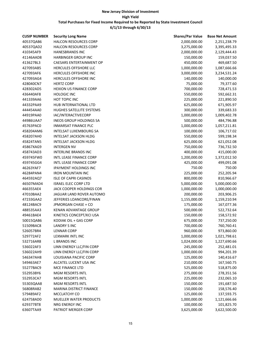| <b>CUSIP NUMBER</b> | <b>Security Long Name</b>       | <b>Shares/Par Value</b> | <b>Base Net Amount</b> |
|---------------------|---------------------------------|-------------------------|------------------------|
| 40537QAB6           | HALCON RESOURCES CORP           | 2,000,000.00            | 2,251,238.79           |
| 40537QAD2           | HALCON RESOURCES CORP           | 3,275,000.00            | 3,395,495.33           |
| 410345AF9           | <b>HANESBRANDS INC</b>          | 2,000,000.00            | 2,129,444.43           |
| 41146AAD8           | <b>HARBINGER GROUP INC</b>      | 150,000.00              | 159,037.50             |
| 413627BL3           | <b>CAESARS ENTERTAINMENT OP</b> | 450,000.00              | 469,687.50             |
| 427093AB5           | HERCULES OFFSHORE LLC           | 1,000,000.00            | 1,087,666.66           |
| 427093AF6           | HERCULES OFFSHORE INC           | 3,000,000.00            | 3,234,531.24           |
| 427093AG4           | HERCULES OFFSHORE INC           | 140,000.00              | 140,000.00             |
| 428040CN7           | <b>HERTZ CORP</b>               | 75,000.00               | 79,377.60              |
| 428302AD5           | <b>HEXION US FINANCE CORP</b>   | 700,000.00              | 728,471.53             |
| 436440AF8           | <b>HOLOGIC INC</b>              | 550,000.00              | 592,662.31             |
| 441339AA6           | HOT TOPIC INC                   | 225,000.00              | 221,890.50             |
| 44332PAA9           | HUB INTERNATIONAL LTD           | 625,000.00              | 671,905.97             |
| 444454AA0           | HUGHES SATELLITE SYSTEMS        | 300,000.00              | 339,683.33             |
| 44919PAA0           | IAC/INTERACTIVECORP             | 1,000,000.00            | 1,009,402.78           |
| 44986UAA7           | <b>INEOS GROUP HOLDINGS SA</b>  | 500,000.00              | 484,796.88             |
| 45763PAC0           | <b>INMARSAT FINANCE PLC</b>     | 1,000,000.00            | 1,057,211.81           |
| 458204AM6           | <b>INTELSAT LUXEMBOURG SA</b>   | 100,000.00              | 106,717.02             |
| 458207AH0           | <b>INTELSAT JACKSON HLDG</b>    | 550,000.00              | 599,198.34             |
| 45824TAN5           | <b>INTELSAT JACKSON HLDG</b>    | 625,000.00              | 621,052.08             |
| 45867XAG9           | <b>INTERGEN NV</b>              | 750,000.00              | 736,732.50             |
| 458743AD3           | INTERLINE BRANDS INC            | 400,000.00              | 415,000.00             |
| 459745FW0           | INTL LEASE FINANCE CORP         | 1,200,000.00            | 1,372,012.50           |
| 459745GG4           | INTL LEASE FINANCE CORP         | 425,000.00              | 499,091.08             |
| 46263YAF7           | IPAYMENT HOLDINGS INC           | 750.00                  | 750.00                 |
| 46284PAN4           | <b>IRON MOUNTAIN INC</b>        | 225,000.00              | 252,205.94             |
| 464592AQ7           | <b>ISLE OF CAPRI CASINOS</b>    | 800,000.00              | 810,966.67             |
| 46507MAD4           | <b>ISRAEL ELEC CORP LTD</b>     | 5,000,000.00            | 5,000,000.00           |
| 466355AE4           | JACK COOPER HOLDINGS COR        | 1,000,000.00            | 1,000,000.00           |
| 47010BAA2           | JAGUAR LAND ROVER AUTOMO        | 200,000.00              | 203,906.25             |
| 47233GAA2           | JEFFERIES LOANCORE/FINAN        | 1,155,000.00            | 1,159,210.94           |
| 48124BAC9           | JPMORGAN CHASE + CO             | 175,000.00              | 167,077.36             |
| 488535AA3           | KENAN ADVANTAGE GROUP           | 500,000.00              | 522,732.64             |
| 49461BAE4           | KINETICS CONCEPT/KCI USA        | 150,000.00              | 158,572.92             |
| 50015QAB6           | KODIAK OIL + GAS CORP           | 675,000.00              | 737,250.00             |
| 51509BAC8           | <b>LANDRY S INC</b>             | 700,000.00              | 760,760.41             |
| 526057BR4           | <b>LENNAR CORP</b>              | 960,000.00              | 973,860.00             |
| 529772AF2           | LEXMARK INTL INC                | 1,000,000.00            | 1,021,798.61           |
| 532716AR8           | <b>L BRANDS INC</b>             | 1,024,000.00            | 1,227,690.66           |
| 536022AF3           | LINN ENERGY LLC/FIN CORP        | 245,000.00              | 252,481.01             |
| 536022AH9           | LINN ENERGY LLC/FIN CORP        | 1,000,000.00            | 994,201.39             |
| 546347AH8           | LOUISIANA PACIFIC CORP          | 125,000.00              | 140,416.67             |
| 549463AE7           | ALCATEL LUCENT USA INC          | 210,000.00              | 167,560.75             |
| 55277BAC9           | MCE FINANCE LTD                 | 525,000.00              | 518,875.00             |
| 552953BY6           | MGM RESORTS INTL                | 275,000.00              | 278,351.56             |
| 552953CA7           | MGM RESORTS INTL                | 225,000.00              | 232,065.10             |
| 55303QAA8           | MGM RESORTS INTL                | 150,000.00              | 191,687.50             |
| 56808RAB2           | <b>MARINA DISTRICT FINANCE</b>  | 150,000.00              | 158,576.40             |
| 579489AF2           | MCCLATCHY CO                    | 125,000.00              | 137,593.75             |
| 624758AD0           | MUELLER WATER PRODUCTS          | 1,000,000.00            | 1,121,666.66           |
| 629377BT8           | NRG ENERGY INC                  | 100,000.00              | 101,825.70             |
| 63607TAA9           | PATRIOT MERGER CORP             | 3,625,000.00            | 3,622,500.00           |
|                     |                                 |                         |                        |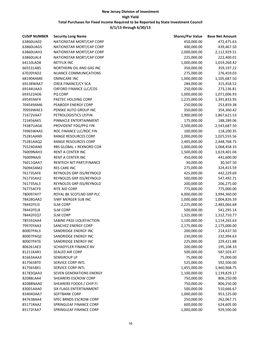| <b>CUSIP NUMBER</b>    | <b>Security Long Name</b>               | <b>Shares/Par Value</b>  | <b>Base Net Amount</b> |
|------------------------|-----------------------------------------|--------------------------|------------------------|
| 63860UAE0              | NATIONSTAR MORT/CAP CORP                | 450,000.00               | 472,475.63             |
| 63860UAG5              | NATIONSTAR MORT/CAP CORP                | 400,000.00               | 439,467.50             |
| 63860UAH3              | NATIONSTAR MORT/CAP CORP                | 2,000,000.00             | 2,112,929.51           |
| 63860UAL4              | NATIONSTAR MORT/CAP CORP                | 225,000.00               | 222,400.01             |
| 64110LAD8              | <b>NETFLIX INC</b>                      | 1,000,000.00             | 1,019,260.42           |
| 665531AB5              | NORTHERN OIL AND GAS INC                | 350,000.00               | 359,197.22             |
| 67020YAD2              | NUANCE COMMUNICATIONS                   | 275,000.00               | 276,459.03             |
| 681904AM0              | <b>OMNICARE INC</b>                     | 1,000,000.00             | 1,105,687.50           |
| 69138WAA7              | <b>OXEA FINANCE/CY SCA</b>              | 284,000.00               | 315,458.52             |
| 69144UAA3              | OXFORD FINANCE LLC/COS                  | 250,000.00               | 273,136.81             |
| 693522AD6              | PQ CORP                                 | 1,000,000.00             | 1,071,006.93           |
| 695459AF4              | PAETEC HOLDING CORP                     | 1,225,000.00             | 1,391,833.95           |
| 704549AM6              | PEABODY ENERGY CORP                     | 250,000.00               | 253,859.38             |
| 70959WAE3              | PENSKE AUTO GROUP INC                   | 350,000.00               | 354,360.42             |
| 71672VAA7              | PETROLOGISTICS LP/FIN                   | 1,900,000.00             | 1,867,621.53           |
| 723456AK5              | PINNACLE ENTERTAINMENT                  | 175,000.00               | 188,289.06             |
| 74387UAG6              | PROVIDENT FDG/PFG FIN                   | 2,500,000.00             | 2,543,687.50           |
| 74965WAA5              | ROC FINANCE LLC/ROC FIN                 | 100,000.00               | 118,200.35             |
| 75281AAN9              | RANGE RESOURCES CORP                    | 1,000,000.00             | 1,025,555.56           |
| 75281AAQ2              | RANGE RESOURCES CORP                    | 2,405,000.00             | 2,448,768.75           |
| 75524DAN0              | RBS GLOBAL + REXNORD COR                | 1,000,000.00             | 1,068,458.33           |
| 76009NAH3              | RENT A CENTER INC                       | 1,500,000.00             | 1,619,401.04           |
| 76009NAJ9              | RENT A CENTER INC                       | 450,000.00               | 441,600.00             |
| 76011QAA7              | RENTECH NIT PART/FINANCE                | 30,000.00                | 30,507.50              |
| 760943AM2              | <b>RES CARE INC</b>                     | 275,000.00               | 324,415.59             |
| 761735AF6              | REYNOLDS GRP ISS/REYNOLD                | 425,000.00               | 442,229.69             |
| 761735AH2              | REYNOLDS GRP ISS/REYNOLD                | 500,000.00               | 547,492.71             |
| 761735AL3              | REYNOLDS GRP ISS/REYNOLD                | 200,000.00               | 206,275.00             |
| 767754CF9              | RITE AID CORP                           | 775,000.00               | 775,000.00             |
| 780097AY7              | ROYAL BK SCOTLND GRP PLC                | 4,000,000.00             | 3,994,360.00           |
| 78428GAA2              | SIWF MERGER SUB INC                     | 1,000,000.00             | 1,004,826.39           |
| 78442FEJ3              | <b>SLM CORP</b>                         | 2,225,000.00             | 2,483,066.68           |
| 78442FEL8              | <b>SLM CORP</b>                         | 500,000.00               | 541,295.14             |
| 78442FEQ7              | <b>SLM CORP</b>                         | 1,325,000.00             | 1,312,710.77           |
| 785592AA4              | SABINE PASS LIQUEFACTION                | 1,100,000.00             | 1,114,265.63           |
| 79970YAA3              | <b>SANCHEZ ENERGY CORP</b>              | 2,175,000.00             | 2,175,000.00           |
| 80007PAL3              | SANDRIDGE ENERGY INC                    | 200,000.00               | 214,437.50             |
| 80007PAQ2              | SANDRIDGE ENERGY INC                    | 230,000.00               | 232,994.63             |
| 80007PAT6              | SANDRIDGE ENERGY INC                    | 225,000.00               | 229,421.88             |
| 806261AE3              | SCHAEFFLER FINANCE BV                   |                          | 195,108.33             |
| 81211KAR1              | SEALED AIR CORP                         | 200,000.00<br>500,000.00 | 587,503.47             |
|                        |                                         | 75,000.00                |                        |
| 81663AAA3<br>817565BT0 | SEMGROUP LP<br><b>SERVICE CORP INTL</b> |                          | 75,000.00              |
|                        | <b>SERVICE CORP INTL</b>                | 525,000.00               | 592,500.00             |
| 817565BX1              | <b>SEVEN GENERATIONS ENERGY</b>         | 1,455,000.00             | 1,460,968.75           |
| 81783QAA3              |                                         | 1,100,000.00             | 1,139,829.17           |
| 82088LAA4              | <b>SHEARERS ESCROW CORP</b>             | 750,000.00               | 806,250.00             |
| 82088NAA0              | SHEARERS FOODS / CHIP FI                | 750,000.00               | 806,250.00             |
| 83001AAA0              | <b>SIX FLAGS ENTERTAINMENT</b>          | 500,000.00               | 510,666.67             |
| 83404DAA7              | <b>SOFTBANK CORP</b>                    | 1,000,000.00             | 953,125.00             |
| 84763BAA4              | SPEC BRNDS ESCROW CORP                  | 250,000.00               | 262,067.71             |
| 85171RAA2              | SPRINGLEAF FINANCE CORP                 | 600,000.00               | 624,605.00             |
| 85172FAA7              | SPRINGLEAF FINANCE CORP                 | 1,000,000.00             | 929,500.00             |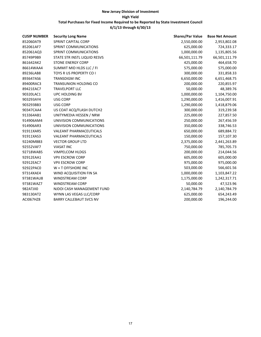| <b>CUSIP NUMBER</b> | <b>Security Long Name</b>      | <b>Shares/Par Value</b> | <b>Base Net Amount</b> |
|---------------------|--------------------------------|-------------------------|------------------------|
| 852060AT9           | <b>SPRINT CAPITAL CORP</b>     | 2,550,000.00            | 2,953,802.08           |
| 852061AF7           | SPRINT COMMUNICATIONS          | 625,000.00              | 724,333.17             |
| 852061AQ3           | SPRINT COMMUNICATIONS          | 1,000,000.00            | 1,135,805.56           |
| 85749P9B9           | STATE STR INSTL LIQUID RESVS   | 66,501,111.79           | 66,501,111.79          |
| 861642AK2           | <b>STONE ENERGY CORP</b>       | 425,000.00              | 464,658.70             |
| 86614WAA4           | SUMMIT MID HLDS LLC / FI       | 575,000.00              | 575,000.00             |
| 89236LAB8           | TOYS R US PROPERTY CO I        | 300,000.00              | 331,858.33             |
| 893647AS6           | <b>TRANSDIGM INC</b>           | 6,650,000.00            | 6,651,468.75           |
| 89400RAC3           | <b>TRANSUNION HOLDING CO</b>   | 200,000.00              | 220,855.97             |
| 89421EAC7           | <b>TRAVELPORT LLC</b>          | 50,000.00               | 48,389.76              |
| 90320LAC1           | UPC HOLDING BV                 | 1,000,000.00            | 1,104,750.00           |
| 903293AY4           | <b>USG CORP</b>                | 1,290,000.00            | 1,416,007.91           |
| 903293BB3           | <b>USG CORP</b>                | 1,290,000.00            | 1,418,879.06           |
| 90347CAA4           | US COAT ACQ/FLASH DUTCH2       | 300,000.00              | 319,239.58             |
| 913364AB1           | UNITYMEDIA HESSEN / NRW        | 225,000.00              | 227,857.50             |
| 914906AM4           | UNIVISION COMMUNICATIONS       | 250,000.00              | 267,456.59             |
| 914906AR3           | UNIVISION COMMUNICATIONS       | 350,000.00              | 338,746.53             |
| 91911XAR5           | <b>VALEANT PHARMACEUTICALS</b> | 650,000.00              | 689,884.72             |
| 91911XAS3           | VALEANT PHARMACEUTICALS        | 150,000.00              | 157,107.30             |
| 92240MBB3           | <b>VECTOR GROUP LTD</b>        | 2,375,000.00            | 2,441,263.89           |
| 92552VAF7           | <b>VIASAT INC</b>              | 750,000.00              | 785,705.73             |
| 92718WAB5           | <b>VIMPELCOM HLDGS</b>         | 200,000.00              | 214,044.56             |
| 92912EAA1           | <b>VPII ESCROW CORP</b>        | 605,000.00              | 605,000.00             |
| 92912EAC7           | <b>VPII ESCROW CORP</b>        | 975,000.00              | 975,000.00             |
| 92922PAC0           | $W + T$ OFFSHORE INC           | 503,000.00              | 566,601.56             |
| 97314XAE4           | WIND ACQUISITION FIN SA        | 1,000,000.00            | 1,103,847.22           |
| 97381WAU8           | <b>WINDSTREAM CORP</b>         | 1,175,000.00            | 1,242,317.71           |
| 97381WAZ7           | <b>WINDSTREAM CORP</b>         | 50,000.00               | 47,523.96              |
| 982ATJII0           | NJDOI CASH MANAGEMENT FUND     | 2,140,784.79            | 2,140,784.79           |
| 983130AT2           | WYNN LAS VEGAS LLC/CORP        | 625,000.00              | 654,243.49             |
| <b>ACI067HZ8</b>    | <b>BARRY CALLEBAUT SVCS NV</b> | 200,000.00              | 196,244.00             |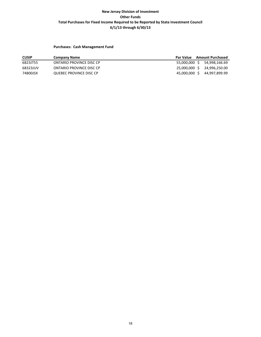### **Purchases: Cash Management Fund**

| <b>CUSIP</b> | <b>Company Name</b>      | Par Value     | <b>Amount Purchased</b>     |
|--------------|--------------------------|---------------|-----------------------------|
| 6823JT55     | ONTARIO PROVINCE DISC CP | 55,000,000 \$ | 54,998,166.69               |
| 68323JUV     | ONTARIO PROVINCE DISC CP |               | 25,000,000 \$ 24,996,250.00 |
| 74800JSX     | QUEBEC PROVINCE DISC CP  | 45,000,000 \$ | 44,997,899.99               |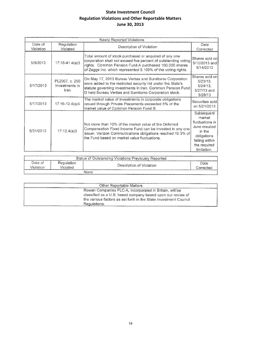# **State Investment Council Regulation Violations and Other Reportable Matters June 30, 2013**

|                      |                                          | Newly Reported Violations                                                                                                                                                                                                                           |                                                                                                                                    |
|----------------------|------------------------------------------|-----------------------------------------------------------------------------------------------------------------------------------------------------------------------------------------------------------------------------------------------------|------------------------------------------------------------------------------------------------------------------------------------|
| Date of<br>Violation | Regulation<br>Violated                   | Description of Violation                                                                                                                                                                                                                            | Date<br>Corrected                                                                                                                  |
| 5/9/2013             | 17:16-41.4(a)3                           | Total amount of stock purchased or acquired of any one<br>corporation shall not exceed five percent of outstanding voting<br>rights. Common Pension Fund A purchased 100,000 shares<br>of Zaggs Inc. which represented 5,109% of the voting rights. | Shares sold on<br>5/10/2013 and<br>5/14/2013                                                                                       |
| 5/17/2013            | PL2007, c. 250<br>Investments in<br>lran | On May 17, 2013 Bureau Veritas and Sumitomo Corporation<br>were added to the restricted security list under the State's<br>statute governing investments in Iran. Common Pension Fund<br>D held Bureau Veritas and Sumitomo Corporation stock.      | Shares sold on<br>5/23/13.<br>5/24/13.<br>5/27/13 and<br>5/28/13                                                                   |
| ÷.<br>5/17/2013      | 17:16-12.4(a)4                           | The market value of investments in corporate obligations<br>issued through Private Placements exceeded 5% of the<br>market value of Common Pension Fund B.                                                                                          | Securities sold<br>on 5/21/2013                                                                                                    |
| 5/31/2013            | 17:12.4(a)3                              | Not more than 10% of the market value of the Deferred<br>Compensation Fixed Income Fund can be invested in any one<br>issuer. Verizon Communications obligations reached 10.3% of<br>the Fund based on market value fluctuations.                   | Subsequent<br>market<br>fluctuations in<br>June resulted<br>in the<br>cbligations<br>falling within<br>the required<br>limitation. |

|                       |                        | Status of Outstanding Violations Previously Reported |                   |
|-----------------------|------------------------|------------------------------------------------------|-------------------|
| Date of<br>`/iolation | Reculation<br>√iolated | Description of Violation                             | Date<br>Corrected |
|                       | ___________            | None                                                 |                   |

| Other Reportable Matters                                         |  |
|------------------------------------------------------------------|--|
| Rowan Companies PLC-A, incorporated in Britain, will be          |  |
| classified as a U.S. based company based upon our review of      |  |
| the various factors as set forth in the State Investment Council |  |
| Regulations.                                                     |  |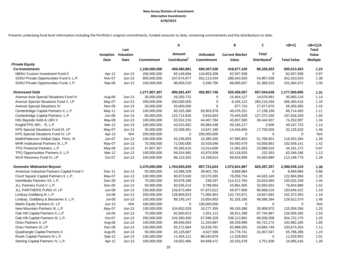Presents underlying fund level information including the Portfolio's original commitments, funded amounts to date, remaining commitments and the distributions to date.

| Last<br>Amount<br>Total<br>Valuation<br><b>Unfunded</b><br><b>Current Market</b><br>Inception<br>Distributed <sup>2</sup><br>Contributed <sup>1</sup><br>Date<br>Date<br><b>Commitment</b><br>Commitment<br>Value<br><b>Total Value</b><br><b>Multiple</b><br><b>Private Equity</b> | Total<br>Value |
|-------------------------------------------------------------------------------------------------------------------------------------------------------------------------------------------------------------------------------------------------------------------------------------|----------------|
|                                                                                                                                                                                                                                                                                     |                |
|                                                                                                                                                                                                                                                                                     |                |
|                                                                                                                                                                                                                                                                                     |                |
|                                                                                                                                                                                                                                                                                     |                |
| 1,100,000,000<br>409,480,881<br>690,307,530<br>418,677,100<br>86,336,353<br>505,013,453<br><b>Co-Investments</b>                                                                                                                                                                    | 1.23           |
| NB/NJ Custom Investment Fund II<br>Apr-12<br>$Jun-13$<br>200,000,000<br>65,146,694<br>134,853,306<br>62,937,938<br>$\Omega$<br>62,937,938                                                                                                                                           | 0.97           |
| SONJ Private Opportunities Fund II, L.P.<br>Nov-07<br>800,000,000<br>54,967,038<br>341,010,543<br>$Jun-13$<br>247,674,977<br>552,113,434<br>286,043,505                                                                                                                             | 1.38           |
| SONJ Private Opportunities Fund, L.P.<br>Sep-06<br>100,000,000<br>96,659,210<br>3,340,790<br>69,695,657<br>101,064,972<br>$Jun-13$<br>31,369,315                                                                                                                                    | 1.05           |
| <b>Distressed Debt</b><br>1,277,807,307<br>895,581,437<br>492,957,746<br>520,456,057<br>657,044,638<br>1,177,500,695                                                                                                                                                                | 1.31           |
| Avenue Asia Special Situations Fund IV<br>30,000,000<br>26,283,722<br>30,083,118<br>Aug-06<br>$Jun-13$<br>0<br>15,404,127<br>14,678,991                                                                                                                                             | 1.14           |
| Avenue Special Situations Fund V, LP<br>May-07<br>$Jun-13$<br>200,000,000<br>200,000,000<br>0<br>6,165,122<br>260,218,294<br>266,383,416                                                                                                                                            | 1.33           |
| 0<br>Avenue Special Situations IV<br>20,000,000<br>28,355,580<br>Nov-05<br>$Jun-13$<br>20,000,000<br>677,710<br>27,677,870                                                                                                                                                          | 1.42           |
| Centerbridge Capital Partners II, L.P.<br>100,000,000<br>60,325,388<br>56,903,978<br>49,476,251<br>17,238,199<br>66,714,450<br>May-11<br>$Jun-13$                                                                                                                                   | 1.11           |
| Centerbridge Capital Partners, L.P.<br>Jun-06<br>$Jun-13$<br>80,000,000<br>123,714,626<br>5,816,833<br>70,445,829<br>127,372,430<br>197,818,259                                                                                                                                     | 1.60           |
| 100,000,000<br>44,467,784<br>74,252,087<br>HIG Bayside Debt & LBO II<br>May-08<br>$Jun-13$<br>55,532,216<br>43,807,580<br>30,444,507                                                                                                                                                | 1.34           |
| Knight/TPG NPL - R, L.P.<br>Mar-12<br>100,000,000<br>43,015,562<br>56,984,438<br>49,165,217<br>2,506<br>49, 167, 723<br>$Jun-13$                                                                                                                                                    | 1.14           |
| KPS Special Situations Fund III, LP<br>May-07<br>$Jun-13$<br>25,000,000<br>22,039,361<br>13,647,180<br>14,434,694<br>17,700,826<br>32,135,520                                                                                                                                       | 1.46           |
| KPS Special Situations Fund IV, LP<br>N/A<br>200,000,000<br>0<br>200,000,000<br>0<br>$\Omega$<br>Apr-13<br>$\Omega$                                                                                                                                                                 | N/A            |
| MatlinPatterson Global Opps. Ptnrs. III<br><b>Jun-07</b><br>100,000,000<br>93,236,693<br>10,380,265<br>67,585,663<br>119,352,264<br>$Jun-13$<br>51,766,601                                                                                                                          | 1.28           |
| MHR Institutional Partners III, L.P.<br>May-07<br>75,000,000<br>72,000,000<br>33,428,046<br>59,450,479<br>43,058,662<br>102,509,141<br>$Jun-13$                                                                                                                                     | 1.42           |
| 47,807,307<br>TPG Financial Partners, L.P.<br>May-08<br>$Jun-13$<br>35,285,615<br>13,014,600<br>11,091,653<br>23,089,519<br>34, 181, 172                                                                                                                                            | 0.97           |
| TPG Opportunities Partners II, L.P.<br>Mar-12<br>100,000,000<br>56,024,992<br>43,975,008<br>63,116,833<br>232,353<br>63,349,186<br>$Jun-13$                                                                                                                                         | 1.13           |
| Oct-07<br>43,563,880<br>WLR Recovery Fund IV, LP<br>$Jun-13$<br>100,000,000<br>88,123,262<br>14,339,614<br>69,634,899<br>113,198,779                                                                                                                                                | 1.28           |
| <b>Domestic Midmarket Buyout</b><br>825,397,257<br>2,470,000,000<br>1,764,093,029<br>897,721,624<br>1,572,641,867<br>2,398,039,124                                                                                                                                                  | 1.36           |
| American Industrial Partners Capital Fund V<br>50,000,000<br>0<br>Dec-11<br>$Jun-13$<br>10,098,209<br>39,901,791<br>8,689,984<br>8,689,984                                                                                                                                          | 0.86           |
| Court Square Capital Partners II, L.P.<br>May-07<br>100,000,000<br>90,873,040<br>10,570,365<br>78,058,754<br>44,626,140<br>122,684,894<br>$Jun-13$                                                                                                                                  | 1.35           |
| 239,297<br>135,032,249<br>InterMedia Partners VII, L.P.<br>$Dec-05$<br>$Jun-13$<br>75,000,000<br>93,978,186<br>114,212,784<br>20,819,465                                                                                                                                            | 1.44           |
| JLL Partners Fund V, L.P.<br>Dec-05<br>50,000,000<br>3,789,064<br>43,961,935<br>32,693,054<br>76,654,989<br>$Jun-13$<br>50,535,214                                                                                                                                                  | 1.52           |
| JLL PARTNERS FUND VI, LP<br><b>Jun-08</b><br>150,000,000<br>$Jun-13$<br>126,673,494<br>67,872,613<br>59,977,906<br>90,668,516<br>150,646,422                                                                                                                                        | 1.19           |
| Jul-08<br>Lindsay Goldberg III, L.P.<br>200,000,000<br>128,859,823<br>71,960,952<br>132,715,671<br>19,657,682<br>152,373,353<br>$Jun-13$                                                                                                                                            | 1.18           |
| Lindsay, Goldberg & Bessemer II, L.P.<br>Jul-06<br>$Jun-13$<br>100,000,000<br>89,145,147<br>10,854,853<br>81,326,180<br>48,586,394<br>129,912,574                                                                                                                                   | 1.46           |
| Marlin Equity Partners IV, LP<br>$Jun-13$<br>N/A<br>100,000,000<br>0<br>100,000,000<br>$\mathbf 0$<br>0<br>$\mathbf 0$                                                                                                                                                              | N/A            |
| New Mountain Partners III, L.P.<br>100,000,000<br>104,652,029<br>10,277,355<br>89,150,386<br>125,059,356<br>May-07<br>$Jun-13$<br>35,908,970                                                                                                                                        | 1.20           |
| $Jul-05$<br>75,000,000<br>1,051,113<br>Oak Hill Capital Partners II, L.P.<br>$Jun-13$<br>82,650,814<br>38,911,298<br>87,744,967<br>126,656,265                                                                                                                                      | 1.53           |
| Oak Hill Capital Partners III, L.P.<br>Oct-07<br>250,000,000<br>243,390,930<br>67,596,329<br>304,722,170<br>$Jun-13$<br>238,213,862<br>66,508,308                                                                                                                                   | 1.25           |
| Onex Partners II, LP<br>100,000,000<br>69,259,990<br>163,982,165<br>Aug-06<br>$Jun-13$<br>88,656,003<br>11,343,997<br>94,722,175                                                                                                                                                    | 1.85           |
| Onex Partners III, LP<br>Dec-08<br>100,000,000<br>93,272,684<br>16,539,761<br>83,988,505<br>19,684,749<br>103,673,254<br>$Jun-13$                                                                                                                                                   | 1.11           |
| Quadrangle Capital Partners II<br>Aug-05<br>50,000,000<br>45,125,687<br>4,627,590<br>24,778,741<br>31,007,547<br>55,786,288<br>$Jun-13$                                                                                                                                             | 1.24           |
| Roark Capital Partners III L.P.<br>100,000,000<br>0<br>Sep-12<br>$Jun-13$<br>11,454,121<br>88,545,879<br>11,529,953<br>11,529,953                                                                                                                                                   | 1.01           |
| Sterling Capital Partners IV, L.P.<br>Apr-12<br>$Jun-13$<br>19,052,466<br>84,699,472<br>20,333,478<br>3,751,938<br>24,085,416<br>100,000,000                                                                                                                                        | 1.26           |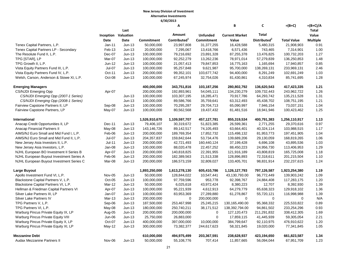|                                          |               |                            |                   | А                        |                   | В                     | C                        | $=(B+C)$           | $=(B+C)/A$      |
|------------------------------------------|---------------|----------------------------|-------------------|--------------------------|-------------------|-----------------------|--------------------------|--------------------|-----------------|
|                                          |               | Last                       |                   |                          |                   |                       |                          |                    | Total           |
|                                          |               | <b>Inception Valuation</b> |                   | Amount                   | <b>Unfunded</b>   | <b>Current Market</b> | Total                    |                    | Value           |
|                                          | Date          | Date                       | <b>Commitment</b> | Contributed <sup>1</sup> | <b>Commitment</b> | Value                 | Distributed <sup>2</sup> | <b>Total Value</b> | <b>Multiple</b> |
| Tenex Capital Partners, L.P.             | $Jan-11$      | $Jun-13$                   | 50.000.000        | 23,997,808               | 31,377,255        | 16,428,588            | 5,480,315                | 21.908.903         | 0.91            |
| Tenex Capital Partners LP - Secondary    | Feb-13        | $Jun-13$                   | 20,000,000        | 7,295,067                | 13,418,766        | 6,571,436             | 743,465                  | 7,314,901          | 1.00            |
| The Resolute Fund II, L.P.               | Dec-07        | $Jun-13$                   | 100,000,000       | 79,216,692               | 23,891,328        | 87,255,378            | 13,476,825               | 100,732,203        | 1.27            |
| TPG [STAR], LP                           | Mar-07        | $Jun-13$                   | 100,000,000       | 92,252,279               | 13,262,236        | 78,971,014            | 57,279,839               | 136,250,853        | 1.48            |
| TPG Growth II, L.P.                      | Jun-12        | $Jun-13$                   | 100,000,000       | 21,057,413               | 79,847,853        | 16,775,163            | 1,165,694                | 17,940,857         | 0.85            |
| Vista Equity Partners Fund III, L.P.     | Jul-07        | $Jun-13$                   | 100,000,000       | 95,257,848               | 9,621,987         | 95,700,000            | 138,269,131              | 233,969,131        | 2.46            |
| Vista Equity Partners Fund IV, L.P.      | Oct-11        | $Jun-13$                   | 200,000,000       | 99,352,101               | 103,677,742       | 94,400,000            | 8,291,249                | 102,691,249        | 1.03            |
| Welsh, Carson, Anderson & Stowe XI, L.P. | Oct-08        | $Jun-13$                   | 100,000,000       | 67,245,974               | 32,754,026        | 81,430,861            | 4,310,834                | 85,741,695         | 1.28            |
| <b>Emerging Managers</b>                 |               |                            | 400,000,000       | 343,751,816              | 103,187,256       | 280,802,792           | 136,620,543              | 417,423,335        | 1.21            |
| <b>CS/NJDI Emerging Opp</b>              | Apr-07        |                            | 200,000,000       | 192,893,961              | 54,045,111        | 134,230,279           | 109,732,443              | 243,962,722        | 1.26            |
| CS/NJDI Emerging Opp (2007-1 Series)     |               | $Jun-13$                   | 100,000,000       | 103,307,195              | 18,285,471        | 70,917,786            | 64,293,742               | 135,211,528        | 1.31            |
| CS/NJDI Emerging Opp (2008-1 Series)     |               | $Jun-13$                   | 100,000,000       | 89,586,766               | 35,759,641        | 63,312,493            | 45,438,702               | 108,751,195        | 1.21            |
| Fairview Capstone Partners II, LP        | Sep-08        | $Jun-13$                   | 100,000,000       | 70,295,287               | 29,704,713        | 65,090,997            | 7,946,154                | 73,037,151         | 1.04            |
| Fairview Capstone Partners, LP           | May-07        | $Jun-13$                   | 100,000,000       | 80,562,568               | 19,437,432        | 81,481,516            | 18,941,946               | 100,423,462        | 1.25            |
| <b>International</b>                     |               |                            | 1,526,910,670     | 1,109,597,707            | 457,127,781       | 855,319,534           | 400,791,383              | 1,256,110,917      | 1.13            |
| Anacap Credit Opportunities II, LP       | Dec-11        | $Jun-13$                   | 79,406,107        | 30,319,672               | 51,823,385        | 26,599,361            | 2,771,255                | 29,370,616         | 0.97            |
| Anacap Financial Partners II             | May-08        | $Jun-13$                   | 143,146,726       | 89,142,517               | 74,105,493        | 63,664,401            | 40,324,114               | 103,988,515        | 1.17            |
| AIMS/NJ Euro Small and Mid Fund I, L.P.  | Feb-06        | $Jun-13$                   | 200,000,000       | 189,769,354              | 17,852,732        | 115,498,132           | 81,953,773               | 197,451,905        | 1.04            |
| AIMS/NJ Euro Small and Mid Fund II, L.P. | <b>Jul-07</b> | $Jun-13$                   | 204, 357, 837     | 159,842,644              | 53,734,476        | 139,689,206           | 29,130,059               | 168,819,265        | 1.06            |
| New Jersey Asia Investors II, L.P.       | $Jul-11$      | $Jun-13$                   | 200,000,000       | 42,721,493               | 160,440,124       | 37,199,428            | 6,696,108                | 43,895,536         | 1.03            |
| New Jersey Asia Investors, L.P.          | Jan-08        | $Jun-13$                   | 100,000,000       | 88,020,478               | 22,457,252        | 88,450,223            | 24,956,730               | 113,406,953        | 1.29            |
| NJHL European BO Investment II Series B  | Apr-07        | $Jun-13$                   | 200,000,000       | 140,818,825              | 22,391,955        | 121,916,189           | 43,808,819               | 165,725,008        | 1.18            |
| NJHL European Buyout Investment Series A | Feb-06        | $Jun-13$                   | 200,000,000       | 182,389,563              | 21,513,338        | 128,896,893           | 72,318,611               | 201,215,504        | 1.10            |
| NJHL European Buyout Investment Series C | Mar-08        | $Jun-13$                   | 200,000,000       | 186,573,159              | 32,809,027        | 133,405,701           | 98,831,914               | 232,237,615        | 1.24            |
| <b>Large Buyout</b>                      |               |                            | 1,893,250,000     | 1,613,278,130            | 605,410,786       | 1,126,127,793         | 797,126,587              | 1,923,254,380      | 1.19            |
| Apollo Investment Fund VI, L.P.          | Nov-05        | $Jun-13$                   | 50,000,000        | 128,844,022              | 10,547,441        | 43,130,793.00         | 96,772,449               | 139,903,242        | 1.09            |
| Blackstone Capital Partners V, L.P.      | Oct-05        | $Jun-13$                   | 100,000,000       | 97,759,596               | 953,778           | 92,398,767            | 24,884,408               | 117,283,175        | 1.20            |
| Blackstone Capital Partners VI, L.P.     | Mar-12        | $Jun-13$                   | 50,000,000        | 6,025,618                | 43,972,424        | 8,380,223             | 12,707                   | 8,392,930          | 1.39            |
| Hellman & Friedman Capital Partners VI   | Apr-07        | $Jun-13$                   | 100,000,000       | 95,221,939               | 4,612,913         | 64,279,779            | 65,638,323               | 129,918,102        | 1.36            |
| Silver Lake Partners III, LP             | Jan-07        | $Jun-13$                   | 100,000,000       | 83,953,369               | 27,289,880        | 61,278,867            | 55,720,121               | 116,998,988        | 1.39            |
| Silver Lake Partners IV                  | Mar-13        | $Jun-13$                   | 200,000,000       | $\mathbf 0$              | 200,000,000       | $\mathbf 0$           | $\mathbf 0$              | $\Omega$           | N/A             |
| TPG Partners V, L.P.                     | Sep-06        | $Jun-13$                   | 187,500,000       | 253,467,998              | 25,245,215        | 130,165,490.00        | 95,368,332               | 225,533,822        | 0.89            |
| TPG Partners VI, L.P.                    | May-08        | $Jun-13$                   | 180,000,000       | 250,740,211              | 38,171,512        | 138,392,794.00        | 94,861,502               | 233,254,296        | 0.93            |
| Warburg Pincus Private Equity IX, LP     | Aug-05        | $Jun-13$                   | 200,000,000       | 200,000,000              | $\mathbf 0$       | 127, 120, 473         | 211,291,832              | 338,412,305        | 1.69            |
| Warburg Pincus Private Equity VIII       | Jun-06        | $Jun-13$                   | 25,750,000        | 26,883,000               | $\mathbf 0$       | 17,859,115            | 41,445,939               | 59,305,054         | 2.21            |
| Warburg Pincus Private Equity X, LP      | Oct-07        | $Jun-13$                   | 400,000,000       | 397,000,000              | 10,000,000        | 384,799,647           | 92,110,975               | 476,910,622        | 1.20            |
| Warburg Pincus Private Equity XI, LP     | May-12        | $Jun-13$                   | 300,000,000       | 73,382,377               | 244,617,623       | 58,321,845            | 19,020,000               | 77,341,845         | 1.05            |
| <b>Mezzanine Debt</b>                    |               |                            | 610,000,000       | 494,975,499              | 203,367,591       | 238,628,937           | 423,194,650              | 661,823,587        | 1.34            |
| <b>Audax Mezzanine Partners II</b>       | Nov-06        | $Jun-13$                   | 50,000,000        | 55,108,776               | 707,414           | 11,857,665            | 56,094,044               | 67,951,709         | 1.23            |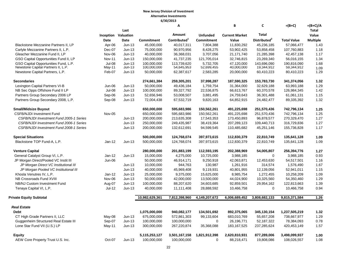| Last<br>Amount<br>Total<br><b>Inception Valuation</b><br><b>Unfunded</b><br>Value<br><b>Current Market</b><br>Contributed <sup>1</sup><br>Distributed <sup>2</sup><br><b>Date</b><br>Commitment<br><b>Commitment</b><br>Value<br><b>Total Value</b><br><b>Multiple</b><br>Date<br>Blackstone Mezzanine Partners II, LP<br>11,830,292<br>57,066,477<br>Apr-06<br>$Jun-13$<br>45,000,000<br>40,017,311<br>7,804,388<br>45,236,185<br>1.43<br>Carlyle Mezzanine Partners II, L.P.<br>Dec-07<br>1.18<br>$Jun-13$<br>75,000,000<br>90,970,956<br>8,428,275<br>53,902,425<br>53,858,458<br>107,760,883<br>Gleacher Mezzanine Fund II, LP<br>40,000,000<br>36,368,031<br>3,707,056<br>21,171,740<br>21,285,398<br>42,457,138<br>1.17<br>Nov-06<br>$Jun-13$<br>1.34<br>GSO Capital Opportunities Fund II, LP<br>150,000,000<br>23,269,340<br>56,016,155<br><b>Nov-11</b><br>$Jun-13$<br>41,737,235<br>121,705,014<br>32,746,815<br>GSO Capital Opportunities Fund, L.P.<br><b>Jul-08</b><br>100.000.000<br>113.739.620<br>143.696.090<br>190.816.090<br>1.68<br>$Jun-13$<br>5,732,705<br>47.120.000<br>Newstone Capital Partners II, L.P.<br>100,000,000<br>54,645,953<br>52,699,455<br>40,000,000<br>19,344,912<br>59,344,912<br>May-11<br>$Jun-13$<br>1.09<br>1.29<br>Newstone Capital Partners, L.P.<br>Feb-07<br>$Jun-13$<br>50,000,000<br>62,387,617<br>2,583,285<br>20,000,000<br>60,410,223<br>80,410,223<br><b>Secondaries</b><br>274,661,384<br>259,305,201<br>37,998,287<br>187,590,325<br>153,783,730<br>341,374,056<br>1.32<br>Lexington Capital Partners VI-B<br>1.29<br>Jun-06<br>$Jun-13$<br>50,000,000<br>49,436,184<br>1,759,754<br>31,364,000<br>32,629,188<br>63,993,188<br>NB Sec Opps Offshore Fund II LP<br><b>Jul-08</b><br>1.42<br>$Jun-13$<br>100,000,000<br>89,327,792<br>22,536,875<br>66,613,767<br>60,370,578<br>126,984,345<br>Partners Group Secondary 2006 LP<br>Sep-06<br>52,656,946<br>53,008,507<br>3,881,495<br>24,759,643<br>61,061,131<br>1.15<br>$Jun-13$<br>36,301,488<br>Partners Group Secondary 2008, L.P.<br>1.32<br>Sep-08<br>$Jun-13$<br>72,004,438<br>67,532,719<br>9,820,163<br>64,852,915<br>24,482,477<br>89,335,392<br>650,000,000<br>1.25<br><b>Small/Midsize Buyout</b><br>595,683,986<br>150,562,261<br>491,225,698<br>251,570,436<br>742,796,134<br><b>CSFB/NJDI Investment Fund</b><br>Nov-05<br>650,000,000<br>742,796,134<br>1.25<br>595,683,986<br>150,562,261<br>491,225,698<br>251,570,436<br>200,000,000<br>270,329,470<br>1.27<br>CSFB/NJDI Investment Fund 2005-1 Series<br>213,635,308<br>17,543,353<br>173,450,893<br>96,878,577<br>$Jun-13$<br>1.27<br>CSFB/NJDI Investment Fund 2006-1 Series<br>250,000,000<br>316,729,836<br>$Jun-13$<br>249,435,987<br>38,419,364<br>207,289,123<br>109,440,713<br>1.17<br>CSFB/NJDI Investment Fund 2008-1 Series<br>$Jun-13$<br>200,000,000<br>132,612,691<br>94,599,545<br>110,485,682<br>45,251,146<br>155,736,828<br><b>Special Situations</b><br>500,000,000<br>124,768,074<br>397,973,615<br>112,830,379<br>22,810,749<br>135,641,128<br>1.09<br>Blackstone TOP Fund-A, L.P.<br>1.09<br>Jan-12<br>$Jun-13$<br>500,000,000<br>124,768,074<br>397,973,615<br>112,830,379<br>22,810,749<br>135,641,128<br><b>Venture Capital</b><br>280,000,000<br>1.27<br>201,883,199<br>112,593,195<br>202,388,969<br>54,005,807<br>256,394,776<br>General Catalyst Group VI, L.P.<br>0.93<br>15,000,000<br>4,275,000<br>10,725,000<br>3,988,185<br>$\mathbf 0$<br>3,988,185<br>$Jan-12$<br>$Jun-13$<br>JP Morgan Direct/Pooled VC Instit III<br>50,000,000<br>9,250,918<br>54,517,501<br>1.16<br>Jun-06<br>46,914,171<br>42,063,871<br>12,453,630<br>1.67<br>JP Morgan Direct VC Institutional III<br>10,000,000<br>944,763<br>130,987<br>1,261,916<br>314,574<br>1,576,490<br>$Jun-13$<br>1.15<br>JP Morgan Pooled VC Institutional III<br>40,000,000<br>9,119,931<br>40,801,955<br>52,941,011<br>$Jun-13$<br>45,969,408<br>12,139,056<br>Khosla Venutres IV, L.P.<br>1.09<br>$Jan-12$<br>$Jun-13$<br>25,000,000<br>9,375,000<br>15,625,000<br>8,985,754<br>1,272,455<br>10,258,209<br>NB Crossroads Fund XVIII<br>10,325,560<br>54,350,460<br>1.29<br>Nov-06<br>$Jun-13$<br>50,000,000<br>42,000,000<br>13,500,000<br>44,024,900<br>NB/NJ Custom Investment Fund<br>Aug-07<br>100,000,000<br>34,603,685<br>1.39<br>$Jun-13$<br>88,207,620<br>92,859,501<br>29,954,162<br>122,813,663<br>Tenaya Capital VI, L.P.<br><b>Jul-12</b><br>0.94<br>Jun-13<br>40,000,000<br>11,111,408<br>28,888,592<br>10,466,758<br>$\mathbf 0$<br>10,466,758<br>4,149,207,672<br>9,815,371,584<br>1.26<br>10,982,629,361<br>7,812,398,960<br>6,006,689,452<br>3,808,682,133<br><b>Real Estate</b><br><b>Debt</b><br>1,075,000,000<br>134,501,692<br>892,375,065<br>345,130,154<br>1,237,505,219<br>940,082,177<br>1.32<br>675,000,000<br>738,667,977<br>1.29<br>CT High Grade Partners II, LLC<br>May-08<br>$Jun-13$<br>572,861,303<br>99,133,604<br>683,010,769<br>55,657,208<br>0.78<br>Guggenheim Structured Real Estate III<br>Sep-07<br>100,000,000<br>100,000,000<br>$\mathbf 0$<br>26,196,771<br>52,187,322<br>78,384,093<br>$Jun-13$<br>Lone Star Fund VII (U.S.) LP<br>300,000,000<br>1.57<br>May-11<br>$Jun-13$<br>267,220,874<br>35,368,088<br>183, 167, 525<br>237,285,624<br>420,453,149<br>5,115,253,127<br>3,501,167,158<br>1,821,912,398<br>2,620,810,931<br>1.00<br><b>Equity</b><br>877,289,006<br>3,498,099,937<br>AEW Core Property Trust U.S. Inc.<br>Oct-07<br>100,000,000<br>19,808,086<br>1.08<br>$Jun-13$<br>100,000,000<br>$\Omega$<br>88,218,471<br>108,026,557 |                                |  | A | B | C | =(B+C) | $=(B+C)/A$ |
|---------------------------------------------------------------------------------------------------------------------------------------------------------------------------------------------------------------------------------------------------------------------------------------------------------------------------------------------------------------------------------------------------------------------------------------------------------------------------------------------------------------------------------------------------------------------------------------------------------------------------------------------------------------------------------------------------------------------------------------------------------------------------------------------------------------------------------------------------------------------------------------------------------------------------------------------------------------------------------------------------------------------------------------------------------------------------------------------------------------------------------------------------------------------------------------------------------------------------------------------------------------------------------------------------------------------------------------------------------------------------------------------------------------------------------------------------------------------------------------------------------------------------------------------------------------------------------------------------------------------------------------------------------------------------------------------------------------------------------------------------------------------------------------------------------------------------------------------------------------------------------------------------------------------------------------------------------------------------------------------------------------------------------------------------------------------------------------------------------------------------------------------------------------------------------------------------------------------------------------------------------------------------------------------------------------------------------------------------------------------------------------------------------------------------------------------------------------------------------------------------------------------------------------------------------------------------------------------------------------------------------------------------------------------------------------------------------------------------------------------------------------------------------------------------------------------------------------------------------------------------------------------------------------------------------------------------------------------------------------------------------------------------------------------------------------------------------------------------------------------------------------------------------------------------------------------------------------------------------------------------------------------------------------------------------------------------------------------------------------------------------------------------------------------------------------------------------------------------------------------------------------------------------------------------------------------------------------------------------------------------------------------------------------------------------------------------------------------------------------------------------------------------------------------------------------------------------------------------------------------------------------------------------------------------------------------------------------------------------------------------------------------------------------------------------------------------------------------------------------------------------------------------------------------------------------------------------------------------------------------------------------------------------------------------------------------------------------------------------------------------------------------------------------------------------------------------------------------------------------------------------------------------------------------------------------------------------------------------------------------------------------------------------------------------------------------------------------------------------------------------------------------------------------------------------------------------------------------------------------------------------------------------------------------------------------------------------------------------------------------------------------------------------------------------------------------------------------------------------------------------------------------------------------------------------------------------------------------------------------------------------------------------------------------------------------------------------------------------------------------------------------------------------------------------------------------------------------------------------------------------------------------------------------------------------------|--------------------------------|--|---|---|---|--------|------------|
|                                                                                                                                                                                                                                                                                                                                                                                                                                                                                                                                                                                                                                                                                                                                                                                                                                                                                                                                                                                                                                                                                                                                                                                                                                                                                                                                                                                                                                                                                                                                                                                                                                                                                                                                                                                                                                                                                                                                                                                                                                                                                                                                                                                                                                                                                                                                                                                                                                                                                                                                                                                                                                                                                                                                                                                                                                                                                                                                                                                                                                                                                                                                                                                                                                                                                                                                                                                                                                                                                                                                                                                                                                                                                                                                                                                                                                                                                                                                                                                                                                                                                                                                                                                                                                                                                                                                                                                                                                                                                                                                                                                                                                                                                                                                                                                                                                                                                                                                                                                                                                                                                                                                                                                                                                                                                                                                                                                                                                                                                                                                                               |                                |  |   |   |   |        | Total      |
|                                                                                                                                                                                                                                                                                                                                                                                                                                                                                                                                                                                                                                                                                                                                                                                                                                                                                                                                                                                                                                                                                                                                                                                                                                                                                                                                                                                                                                                                                                                                                                                                                                                                                                                                                                                                                                                                                                                                                                                                                                                                                                                                                                                                                                                                                                                                                                                                                                                                                                                                                                                                                                                                                                                                                                                                                                                                                                                                                                                                                                                                                                                                                                                                                                                                                                                                                                                                                                                                                                                                                                                                                                                                                                                                                                                                                                                                                                                                                                                                                                                                                                                                                                                                                                                                                                                                                                                                                                                                                                                                                                                                                                                                                                                                                                                                                                                                                                                                                                                                                                                                                                                                                                                                                                                                                                                                                                                                                                                                                                                                                               |                                |  |   |   |   |        |            |
|                                                                                                                                                                                                                                                                                                                                                                                                                                                                                                                                                                                                                                                                                                                                                                                                                                                                                                                                                                                                                                                                                                                                                                                                                                                                                                                                                                                                                                                                                                                                                                                                                                                                                                                                                                                                                                                                                                                                                                                                                                                                                                                                                                                                                                                                                                                                                                                                                                                                                                                                                                                                                                                                                                                                                                                                                                                                                                                                                                                                                                                                                                                                                                                                                                                                                                                                                                                                                                                                                                                                                                                                                                                                                                                                                                                                                                                                                                                                                                                                                                                                                                                                                                                                                                                                                                                                                                                                                                                                                                                                                                                                                                                                                                                                                                                                                                                                                                                                                                                                                                                                                                                                                                                                                                                                                                                                                                                                                                                                                                                                                               |                                |  |   |   |   |        |            |
|                                                                                                                                                                                                                                                                                                                                                                                                                                                                                                                                                                                                                                                                                                                                                                                                                                                                                                                                                                                                                                                                                                                                                                                                                                                                                                                                                                                                                                                                                                                                                                                                                                                                                                                                                                                                                                                                                                                                                                                                                                                                                                                                                                                                                                                                                                                                                                                                                                                                                                                                                                                                                                                                                                                                                                                                                                                                                                                                                                                                                                                                                                                                                                                                                                                                                                                                                                                                                                                                                                                                                                                                                                                                                                                                                                                                                                                                                                                                                                                                                                                                                                                                                                                                                                                                                                                                                                                                                                                                                                                                                                                                                                                                                                                                                                                                                                                                                                                                                                                                                                                                                                                                                                                                                                                                                                                                                                                                                                                                                                                                                               |                                |  |   |   |   |        |            |
|                                                                                                                                                                                                                                                                                                                                                                                                                                                                                                                                                                                                                                                                                                                                                                                                                                                                                                                                                                                                                                                                                                                                                                                                                                                                                                                                                                                                                                                                                                                                                                                                                                                                                                                                                                                                                                                                                                                                                                                                                                                                                                                                                                                                                                                                                                                                                                                                                                                                                                                                                                                                                                                                                                                                                                                                                                                                                                                                                                                                                                                                                                                                                                                                                                                                                                                                                                                                                                                                                                                                                                                                                                                                                                                                                                                                                                                                                                                                                                                                                                                                                                                                                                                                                                                                                                                                                                                                                                                                                                                                                                                                                                                                                                                                                                                                                                                                                                                                                                                                                                                                                                                                                                                                                                                                                                                                                                                                                                                                                                                                                               |                                |  |   |   |   |        |            |
|                                                                                                                                                                                                                                                                                                                                                                                                                                                                                                                                                                                                                                                                                                                                                                                                                                                                                                                                                                                                                                                                                                                                                                                                                                                                                                                                                                                                                                                                                                                                                                                                                                                                                                                                                                                                                                                                                                                                                                                                                                                                                                                                                                                                                                                                                                                                                                                                                                                                                                                                                                                                                                                                                                                                                                                                                                                                                                                                                                                                                                                                                                                                                                                                                                                                                                                                                                                                                                                                                                                                                                                                                                                                                                                                                                                                                                                                                                                                                                                                                                                                                                                                                                                                                                                                                                                                                                                                                                                                                                                                                                                                                                                                                                                                                                                                                                                                                                                                                                                                                                                                                                                                                                                                                                                                                                                                                                                                                                                                                                                                                               |                                |  |   |   |   |        |            |
|                                                                                                                                                                                                                                                                                                                                                                                                                                                                                                                                                                                                                                                                                                                                                                                                                                                                                                                                                                                                                                                                                                                                                                                                                                                                                                                                                                                                                                                                                                                                                                                                                                                                                                                                                                                                                                                                                                                                                                                                                                                                                                                                                                                                                                                                                                                                                                                                                                                                                                                                                                                                                                                                                                                                                                                                                                                                                                                                                                                                                                                                                                                                                                                                                                                                                                                                                                                                                                                                                                                                                                                                                                                                                                                                                                                                                                                                                                                                                                                                                                                                                                                                                                                                                                                                                                                                                                                                                                                                                                                                                                                                                                                                                                                                                                                                                                                                                                                                                                                                                                                                                                                                                                                                                                                                                                                                                                                                                                                                                                                                                               |                                |  |   |   |   |        |            |
|                                                                                                                                                                                                                                                                                                                                                                                                                                                                                                                                                                                                                                                                                                                                                                                                                                                                                                                                                                                                                                                                                                                                                                                                                                                                                                                                                                                                                                                                                                                                                                                                                                                                                                                                                                                                                                                                                                                                                                                                                                                                                                                                                                                                                                                                                                                                                                                                                                                                                                                                                                                                                                                                                                                                                                                                                                                                                                                                                                                                                                                                                                                                                                                                                                                                                                                                                                                                                                                                                                                                                                                                                                                                                                                                                                                                                                                                                                                                                                                                                                                                                                                                                                                                                                                                                                                                                                                                                                                                                                                                                                                                                                                                                                                                                                                                                                                                                                                                                                                                                                                                                                                                                                                                                                                                                                                                                                                                                                                                                                                                                               |                                |  |   |   |   |        |            |
|                                                                                                                                                                                                                                                                                                                                                                                                                                                                                                                                                                                                                                                                                                                                                                                                                                                                                                                                                                                                                                                                                                                                                                                                                                                                                                                                                                                                                                                                                                                                                                                                                                                                                                                                                                                                                                                                                                                                                                                                                                                                                                                                                                                                                                                                                                                                                                                                                                                                                                                                                                                                                                                                                                                                                                                                                                                                                                                                                                                                                                                                                                                                                                                                                                                                                                                                                                                                                                                                                                                                                                                                                                                                                                                                                                                                                                                                                                                                                                                                                                                                                                                                                                                                                                                                                                                                                                                                                                                                                                                                                                                                                                                                                                                                                                                                                                                                                                                                                                                                                                                                                                                                                                                                                                                                                                                                                                                                                                                                                                                                                               |                                |  |   |   |   |        |            |
|                                                                                                                                                                                                                                                                                                                                                                                                                                                                                                                                                                                                                                                                                                                                                                                                                                                                                                                                                                                                                                                                                                                                                                                                                                                                                                                                                                                                                                                                                                                                                                                                                                                                                                                                                                                                                                                                                                                                                                                                                                                                                                                                                                                                                                                                                                                                                                                                                                                                                                                                                                                                                                                                                                                                                                                                                                                                                                                                                                                                                                                                                                                                                                                                                                                                                                                                                                                                                                                                                                                                                                                                                                                                                                                                                                                                                                                                                                                                                                                                                                                                                                                                                                                                                                                                                                                                                                                                                                                                                                                                                                                                                                                                                                                                                                                                                                                                                                                                                                                                                                                                                                                                                                                                                                                                                                                                                                                                                                                                                                                                                               |                                |  |   |   |   |        |            |
|                                                                                                                                                                                                                                                                                                                                                                                                                                                                                                                                                                                                                                                                                                                                                                                                                                                                                                                                                                                                                                                                                                                                                                                                                                                                                                                                                                                                                                                                                                                                                                                                                                                                                                                                                                                                                                                                                                                                                                                                                                                                                                                                                                                                                                                                                                                                                                                                                                                                                                                                                                                                                                                                                                                                                                                                                                                                                                                                                                                                                                                                                                                                                                                                                                                                                                                                                                                                                                                                                                                                                                                                                                                                                                                                                                                                                                                                                                                                                                                                                                                                                                                                                                                                                                                                                                                                                                                                                                                                                                                                                                                                                                                                                                                                                                                                                                                                                                                                                                                                                                                                                                                                                                                                                                                                                                                                                                                                                                                                                                                                                               |                                |  |   |   |   |        |            |
|                                                                                                                                                                                                                                                                                                                                                                                                                                                                                                                                                                                                                                                                                                                                                                                                                                                                                                                                                                                                                                                                                                                                                                                                                                                                                                                                                                                                                                                                                                                                                                                                                                                                                                                                                                                                                                                                                                                                                                                                                                                                                                                                                                                                                                                                                                                                                                                                                                                                                                                                                                                                                                                                                                                                                                                                                                                                                                                                                                                                                                                                                                                                                                                                                                                                                                                                                                                                                                                                                                                                                                                                                                                                                                                                                                                                                                                                                                                                                                                                                                                                                                                                                                                                                                                                                                                                                                                                                                                                                                                                                                                                                                                                                                                                                                                                                                                                                                                                                                                                                                                                                                                                                                                                                                                                                                                                                                                                                                                                                                                                                               |                                |  |   |   |   |        |            |
|                                                                                                                                                                                                                                                                                                                                                                                                                                                                                                                                                                                                                                                                                                                                                                                                                                                                                                                                                                                                                                                                                                                                                                                                                                                                                                                                                                                                                                                                                                                                                                                                                                                                                                                                                                                                                                                                                                                                                                                                                                                                                                                                                                                                                                                                                                                                                                                                                                                                                                                                                                                                                                                                                                                                                                                                                                                                                                                                                                                                                                                                                                                                                                                                                                                                                                                                                                                                                                                                                                                                                                                                                                                                                                                                                                                                                                                                                                                                                                                                                                                                                                                                                                                                                                                                                                                                                                                                                                                                                                                                                                                                                                                                                                                                                                                                                                                                                                                                                                                                                                                                                                                                                                                                                                                                                                                                                                                                                                                                                                                                                               |                                |  |   |   |   |        |            |
|                                                                                                                                                                                                                                                                                                                                                                                                                                                                                                                                                                                                                                                                                                                                                                                                                                                                                                                                                                                                                                                                                                                                                                                                                                                                                                                                                                                                                                                                                                                                                                                                                                                                                                                                                                                                                                                                                                                                                                                                                                                                                                                                                                                                                                                                                                                                                                                                                                                                                                                                                                                                                                                                                                                                                                                                                                                                                                                                                                                                                                                                                                                                                                                                                                                                                                                                                                                                                                                                                                                                                                                                                                                                                                                                                                                                                                                                                                                                                                                                                                                                                                                                                                                                                                                                                                                                                                                                                                                                                                                                                                                                                                                                                                                                                                                                                                                                                                                                                                                                                                                                                                                                                                                                                                                                                                                                                                                                                                                                                                                                                               |                                |  |   |   |   |        |            |
|                                                                                                                                                                                                                                                                                                                                                                                                                                                                                                                                                                                                                                                                                                                                                                                                                                                                                                                                                                                                                                                                                                                                                                                                                                                                                                                                                                                                                                                                                                                                                                                                                                                                                                                                                                                                                                                                                                                                                                                                                                                                                                                                                                                                                                                                                                                                                                                                                                                                                                                                                                                                                                                                                                                                                                                                                                                                                                                                                                                                                                                                                                                                                                                                                                                                                                                                                                                                                                                                                                                                                                                                                                                                                                                                                                                                                                                                                                                                                                                                                                                                                                                                                                                                                                                                                                                                                                                                                                                                                                                                                                                                                                                                                                                                                                                                                                                                                                                                                                                                                                                                                                                                                                                                                                                                                                                                                                                                                                                                                                                                                               |                                |  |   |   |   |        |            |
|                                                                                                                                                                                                                                                                                                                                                                                                                                                                                                                                                                                                                                                                                                                                                                                                                                                                                                                                                                                                                                                                                                                                                                                                                                                                                                                                                                                                                                                                                                                                                                                                                                                                                                                                                                                                                                                                                                                                                                                                                                                                                                                                                                                                                                                                                                                                                                                                                                                                                                                                                                                                                                                                                                                                                                                                                                                                                                                                                                                                                                                                                                                                                                                                                                                                                                                                                                                                                                                                                                                                                                                                                                                                                                                                                                                                                                                                                                                                                                                                                                                                                                                                                                                                                                                                                                                                                                                                                                                                                                                                                                                                                                                                                                                                                                                                                                                                                                                                                                                                                                                                                                                                                                                                                                                                                                                                                                                                                                                                                                                                                               |                                |  |   |   |   |        |            |
|                                                                                                                                                                                                                                                                                                                                                                                                                                                                                                                                                                                                                                                                                                                                                                                                                                                                                                                                                                                                                                                                                                                                                                                                                                                                                                                                                                                                                                                                                                                                                                                                                                                                                                                                                                                                                                                                                                                                                                                                                                                                                                                                                                                                                                                                                                                                                                                                                                                                                                                                                                                                                                                                                                                                                                                                                                                                                                                                                                                                                                                                                                                                                                                                                                                                                                                                                                                                                                                                                                                                                                                                                                                                                                                                                                                                                                                                                                                                                                                                                                                                                                                                                                                                                                                                                                                                                                                                                                                                                                                                                                                                                                                                                                                                                                                                                                                                                                                                                                                                                                                                                                                                                                                                                                                                                                                                                                                                                                                                                                                                                               |                                |  |   |   |   |        |            |
|                                                                                                                                                                                                                                                                                                                                                                                                                                                                                                                                                                                                                                                                                                                                                                                                                                                                                                                                                                                                                                                                                                                                                                                                                                                                                                                                                                                                                                                                                                                                                                                                                                                                                                                                                                                                                                                                                                                                                                                                                                                                                                                                                                                                                                                                                                                                                                                                                                                                                                                                                                                                                                                                                                                                                                                                                                                                                                                                                                                                                                                                                                                                                                                                                                                                                                                                                                                                                                                                                                                                                                                                                                                                                                                                                                                                                                                                                                                                                                                                                                                                                                                                                                                                                                                                                                                                                                                                                                                                                                                                                                                                                                                                                                                                                                                                                                                                                                                                                                                                                                                                                                                                                                                                                                                                                                                                                                                                                                                                                                                                                               |                                |  |   |   |   |        |            |
|                                                                                                                                                                                                                                                                                                                                                                                                                                                                                                                                                                                                                                                                                                                                                                                                                                                                                                                                                                                                                                                                                                                                                                                                                                                                                                                                                                                                                                                                                                                                                                                                                                                                                                                                                                                                                                                                                                                                                                                                                                                                                                                                                                                                                                                                                                                                                                                                                                                                                                                                                                                                                                                                                                                                                                                                                                                                                                                                                                                                                                                                                                                                                                                                                                                                                                                                                                                                                                                                                                                                                                                                                                                                                                                                                                                                                                                                                                                                                                                                                                                                                                                                                                                                                                                                                                                                                                                                                                                                                                                                                                                                                                                                                                                                                                                                                                                                                                                                                                                                                                                                                                                                                                                                                                                                                                                                                                                                                                                                                                                                                               |                                |  |   |   |   |        |            |
|                                                                                                                                                                                                                                                                                                                                                                                                                                                                                                                                                                                                                                                                                                                                                                                                                                                                                                                                                                                                                                                                                                                                                                                                                                                                                                                                                                                                                                                                                                                                                                                                                                                                                                                                                                                                                                                                                                                                                                                                                                                                                                                                                                                                                                                                                                                                                                                                                                                                                                                                                                                                                                                                                                                                                                                                                                                                                                                                                                                                                                                                                                                                                                                                                                                                                                                                                                                                                                                                                                                                                                                                                                                                                                                                                                                                                                                                                                                                                                                                                                                                                                                                                                                                                                                                                                                                                                                                                                                                                                                                                                                                                                                                                                                                                                                                                                                                                                                                                                                                                                                                                                                                                                                                                                                                                                                                                                                                                                                                                                                                                               |                                |  |   |   |   |        |            |
|                                                                                                                                                                                                                                                                                                                                                                                                                                                                                                                                                                                                                                                                                                                                                                                                                                                                                                                                                                                                                                                                                                                                                                                                                                                                                                                                                                                                                                                                                                                                                                                                                                                                                                                                                                                                                                                                                                                                                                                                                                                                                                                                                                                                                                                                                                                                                                                                                                                                                                                                                                                                                                                                                                                                                                                                                                                                                                                                                                                                                                                                                                                                                                                                                                                                                                                                                                                                                                                                                                                                                                                                                                                                                                                                                                                                                                                                                                                                                                                                                                                                                                                                                                                                                                                                                                                                                                                                                                                                                                                                                                                                                                                                                                                                                                                                                                                                                                                                                                                                                                                                                                                                                                                                                                                                                                                                                                                                                                                                                                                                                               |                                |  |   |   |   |        |            |
|                                                                                                                                                                                                                                                                                                                                                                                                                                                                                                                                                                                                                                                                                                                                                                                                                                                                                                                                                                                                                                                                                                                                                                                                                                                                                                                                                                                                                                                                                                                                                                                                                                                                                                                                                                                                                                                                                                                                                                                                                                                                                                                                                                                                                                                                                                                                                                                                                                                                                                                                                                                                                                                                                                                                                                                                                                                                                                                                                                                                                                                                                                                                                                                                                                                                                                                                                                                                                                                                                                                                                                                                                                                                                                                                                                                                                                                                                                                                                                                                                                                                                                                                                                                                                                                                                                                                                                                                                                                                                                                                                                                                                                                                                                                                                                                                                                                                                                                                                                                                                                                                                                                                                                                                                                                                                                                                                                                                                                                                                                                                                               |                                |  |   |   |   |        |            |
|                                                                                                                                                                                                                                                                                                                                                                                                                                                                                                                                                                                                                                                                                                                                                                                                                                                                                                                                                                                                                                                                                                                                                                                                                                                                                                                                                                                                                                                                                                                                                                                                                                                                                                                                                                                                                                                                                                                                                                                                                                                                                                                                                                                                                                                                                                                                                                                                                                                                                                                                                                                                                                                                                                                                                                                                                                                                                                                                                                                                                                                                                                                                                                                                                                                                                                                                                                                                                                                                                                                                                                                                                                                                                                                                                                                                                                                                                                                                                                                                                                                                                                                                                                                                                                                                                                                                                                                                                                                                                                                                                                                                                                                                                                                                                                                                                                                                                                                                                                                                                                                                                                                                                                                                                                                                                                                                                                                                                                                                                                                                                               |                                |  |   |   |   |        |            |
|                                                                                                                                                                                                                                                                                                                                                                                                                                                                                                                                                                                                                                                                                                                                                                                                                                                                                                                                                                                                                                                                                                                                                                                                                                                                                                                                                                                                                                                                                                                                                                                                                                                                                                                                                                                                                                                                                                                                                                                                                                                                                                                                                                                                                                                                                                                                                                                                                                                                                                                                                                                                                                                                                                                                                                                                                                                                                                                                                                                                                                                                                                                                                                                                                                                                                                                                                                                                                                                                                                                                                                                                                                                                                                                                                                                                                                                                                                                                                                                                                                                                                                                                                                                                                                                                                                                                                                                                                                                                                                                                                                                                                                                                                                                                                                                                                                                                                                                                                                                                                                                                                                                                                                                                                                                                                                                                                                                                                                                                                                                                                               |                                |  |   |   |   |        |            |
|                                                                                                                                                                                                                                                                                                                                                                                                                                                                                                                                                                                                                                                                                                                                                                                                                                                                                                                                                                                                                                                                                                                                                                                                                                                                                                                                                                                                                                                                                                                                                                                                                                                                                                                                                                                                                                                                                                                                                                                                                                                                                                                                                                                                                                                                                                                                                                                                                                                                                                                                                                                                                                                                                                                                                                                                                                                                                                                                                                                                                                                                                                                                                                                                                                                                                                                                                                                                                                                                                                                                                                                                                                                                                                                                                                                                                                                                                                                                                                                                                                                                                                                                                                                                                                                                                                                                                                                                                                                                                                                                                                                                                                                                                                                                                                                                                                                                                                                                                                                                                                                                                                                                                                                                                                                                                                                                                                                                                                                                                                                                                               |                                |  |   |   |   |        |            |
|                                                                                                                                                                                                                                                                                                                                                                                                                                                                                                                                                                                                                                                                                                                                                                                                                                                                                                                                                                                                                                                                                                                                                                                                                                                                                                                                                                                                                                                                                                                                                                                                                                                                                                                                                                                                                                                                                                                                                                                                                                                                                                                                                                                                                                                                                                                                                                                                                                                                                                                                                                                                                                                                                                                                                                                                                                                                                                                                                                                                                                                                                                                                                                                                                                                                                                                                                                                                                                                                                                                                                                                                                                                                                                                                                                                                                                                                                                                                                                                                                                                                                                                                                                                                                                                                                                                                                                                                                                                                                                                                                                                                                                                                                                                                                                                                                                                                                                                                                                                                                                                                                                                                                                                                                                                                                                                                                                                                                                                                                                                                                               |                                |  |   |   |   |        |            |
|                                                                                                                                                                                                                                                                                                                                                                                                                                                                                                                                                                                                                                                                                                                                                                                                                                                                                                                                                                                                                                                                                                                                                                                                                                                                                                                                                                                                                                                                                                                                                                                                                                                                                                                                                                                                                                                                                                                                                                                                                                                                                                                                                                                                                                                                                                                                                                                                                                                                                                                                                                                                                                                                                                                                                                                                                                                                                                                                                                                                                                                                                                                                                                                                                                                                                                                                                                                                                                                                                                                                                                                                                                                                                                                                                                                                                                                                                                                                                                                                                                                                                                                                                                                                                                                                                                                                                                                                                                                                                                                                                                                                                                                                                                                                                                                                                                                                                                                                                                                                                                                                                                                                                                                                                                                                                                                                                                                                                                                                                                                                                               |                                |  |   |   |   |        |            |
|                                                                                                                                                                                                                                                                                                                                                                                                                                                                                                                                                                                                                                                                                                                                                                                                                                                                                                                                                                                                                                                                                                                                                                                                                                                                                                                                                                                                                                                                                                                                                                                                                                                                                                                                                                                                                                                                                                                                                                                                                                                                                                                                                                                                                                                                                                                                                                                                                                                                                                                                                                                                                                                                                                                                                                                                                                                                                                                                                                                                                                                                                                                                                                                                                                                                                                                                                                                                                                                                                                                                                                                                                                                                                                                                                                                                                                                                                                                                                                                                                                                                                                                                                                                                                                                                                                                                                                                                                                                                                                                                                                                                                                                                                                                                                                                                                                                                                                                                                                                                                                                                                                                                                                                                                                                                                                                                                                                                                                                                                                                                                               |                                |  |   |   |   |        |            |
|                                                                                                                                                                                                                                                                                                                                                                                                                                                                                                                                                                                                                                                                                                                                                                                                                                                                                                                                                                                                                                                                                                                                                                                                                                                                                                                                                                                                                                                                                                                                                                                                                                                                                                                                                                                                                                                                                                                                                                                                                                                                                                                                                                                                                                                                                                                                                                                                                                                                                                                                                                                                                                                                                                                                                                                                                                                                                                                                                                                                                                                                                                                                                                                                                                                                                                                                                                                                                                                                                                                                                                                                                                                                                                                                                                                                                                                                                                                                                                                                                                                                                                                                                                                                                                                                                                                                                                                                                                                                                                                                                                                                                                                                                                                                                                                                                                                                                                                                                                                                                                                                                                                                                                                                                                                                                                                                                                                                                                                                                                                                                               |                                |  |   |   |   |        |            |
|                                                                                                                                                                                                                                                                                                                                                                                                                                                                                                                                                                                                                                                                                                                                                                                                                                                                                                                                                                                                                                                                                                                                                                                                                                                                                                                                                                                                                                                                                                                                                                                                                                                                                                                                                                                                                                                                                                                                                                                                                                                                                                                                                                                                                                                                                                                                                                                                                                                                                                                                                                                                                                                                                                                                                                                                                                                                                                                                                                                                                                                                                                                                                                                                                                                                                                                                                                                                                                                                                                                                                                                                                                                                                                                                                                                                                                                                                                                                                                                                                                                                                                                                                                                                                                                                                                                                                                                                                                                                                                                                                                                                                                                                                                                                                                                                                                                                                                                                                                                                                                                                                                                                                                                                                                                                                                                                                                                                                                                                                                                                                               |                                |  |   |   |   |        |            |
|                                                                                                                                                                                                                                                                                                                                                                                                                                                                                                                                                                                                                                                                                                                                                                                                                                                                                                                                                                                                                                                                                                                                                                                                                                                                                                                                                                                                                                                                                                                                                                                                                                                                                                                                                                                                                                                                                                                                                                                                                                                                                                                                                                                                                                                                                                                                                                                                                                                                                                                                                                                                                                                                                                                                                                                                                                                                                                                                                                                                                                                                                                                                                                                                                                                                                                                                                                                                                                                                                                                                                                                                                                                                                                                                                                                                                                                                                                                                                                                                                                                                                                                                                                                                                                                                                                                                                                                                                                                                                                                                                                                                                                                                                                                                                                                                                                                                                                                                                                                                                                                                                                                                                                                                                                                                                                                                                                                                                                                                                                                                                               |                                |  |   |   |   |        |            |
|                                                                                                                                                                                                                                                                                                                                                                                                                                                                                                                                                                                                                                                                                                                                                                                                                                                                                                                                                                                                                                                                                                                                                                                                                                                                                                                                                                                                                                                                                                                                                                                                                                                                                                                                                                                                                                                                                                                                                                                                                                                                                                                                                                                                                                                                                                                                                                                                                                                                                                                                                                                                                                                                                                                                                                                                                                                                                                                                                                                                                                                                                                                                                                                                                                                                                                                                                                                                                                                                                                                                                                                                                                                                                                                                                                                                                                                                                                                                                                                                                                                                                                                                                                                                                                                                                                                                                                                                                                                                                                                                                                                                                                                                                                                                                                                                                                                                                                                                                                                                                                                                                                                                                                                                                                                                                                                                                                                                                                                                                                                                                               | <b>Private Equity Subtotal</b> |  |   |   |   |        |            |
|                                                                                                                                                                                                                                                                                                                                                                                                                                                                                                                                                                                                                                                                                                                                                                                                                                                                                                                                                                                                                                                                                                                                                                                                                                                                                                                                                                                                                                                                                                                                                                                                                                                                                                                                                                                                                                                                                                                                                                                                                                                                                                                                                                                                                                                                                                                                                                                                                                                                                                                                                                                                                                                                                                                                                                                                                                                                                                                                                                                                                                                                                                                                                                                                                                                                                                                                                                                                                                                                                                                                                                                                                                                                                                                                                                                                                                                                                                                                                                                                                                                                                                                                                                                                                                                                                                                                                                                                                                                                                                                                                                                                                                                                                                                                                                                                                                                                                                                                                                                                                                                                                                                                                                                                                                                                                                                                                                                                                                                                                                                                                               |                                |  |   |   |   |        |            |
|                                                                                                                                                                                                                                                                                                                                                                                                                                                                                                                                                                                                                                                                                                                                                                                                                                                                                                                                                                                                                                                                                                                                                                                                                                                                                                                                                                                                                                                                                                                                                                                                                                                                                                                                                                                                                                                                                                                                                                                                                                                                                                                                                                                                                                                                                                                                                                                                                                                                                                                                                                                                                                                                                                                                                                                                                                                                                                                                                                                                                                                                                                                                                                                                                                                                                                                                                                                                                                                                                                                                                                                                                                                                                                                                                                                                                                                                                                                                                                                                                                                                                                                                                                                                                                                                                                                                                                                                                                                                                                                                                                                                                                                                                                                                                                                                                                                                                                                                                                                                                                                                                                                                                                                                                                                                                                                                                                                                                                                                                                                                                               |                                |  |   |   |   |        |            |
|                                                                                                                                                                                                                                                                                                                                                                                                                                                                                                                                                                                                                                                                                                                                                                                                                                                                                                                                                                                                                                                                                                                                                                                                                                                                                                                                                                                                                                                                                                                                                                                                                                                                                                                                                                                                                                                                                                                                                                                                                                                                                                                                                                                                                                                                                                                                                                                                                                                                                                                                                                                                                                                                                                                                                                                                                                                                                                                                                                                                                                                                                                                                                                                                                                                                                                                                                                                                                                                                                                                                                                                                                                                                                                                                                                                                                                                                                                                                                                                                                                                                                                                                                                                                                                                                                                                                                                                                                                                                                                                                                                                                                                                                                                                                                                                                                                                                                                                                                                                                                                                                                                                                                                                                                                                                                                                                                                                                                                                                                                                                                               |                                |  |   |   |   |        |            |
|                                                                                                                                                                                                                                                                                                                                                                                                                                                                                                                                                                                                                                                                                                                                                                                                                                                                                                                                                                                                                                                                                                                                                                                                                                                                                                                                                                                                                                                                                                                                                                                                                                                                                                                                                                                                                                                                                                                                                                                                                                                                                                                                                                                                                                                                                                                                                                                                                                                                                                                                                                                                                                                                                                                                                                                                                                                                                                                                                                                                                                                                                                                                                                                                                                                                                                                                                                                                                                                                                                                                                                                                                                                                                                                                                                                                                                                                                                                                                                                                                                                                                                                                                                                                                                                                                                                                                                                                                                                                                                                                                                                                                                                                                                                                                                                                                                                                                                                                                                                                                                                                                                                                                                                                                                                                                                                                                                                                                                                                                                                                                               |                                |  |   |   |   |        |            |
|                                                                                                                                                                                                                                                                                                                                                                                                                                                                                                                                                                                                                                                                                                                                                                                                                                                                                                                                                                                                                                                                                                                                                                                                                                                                                                                                                                                                                                                                                                                                                                                                                                                                                                                                                                                                                                                                                                                                                                                                                                                                                                                                                                                                                                                                                                                                                                                                                                                                                                                                                                                                                                                                                                                                                                                                                                                                                                                                                                                                                                                                                                                                                                                                                                                                                                                                                                                                                                                                                                                                                                                                                                                                                                                                                                                                                                                                                                                                                                                                                                                                                                                                                                                                                                                                                                                                                                                                                                                                                                                                                                                                                                                                                                                                                                                                                                                                                                                                                                                                                                                                                                                                                                                                                                                                                                                                                                                                                                                                                                                                                               |                                |  |   |   |   |        |            |
|                                                                                                                                                                                                                                                                                                                                                                                                                                                                                                                                                                                                                                                                                                                                                                                                                                                                                                                                                                                                                                                                                                                                                                                                                                                                                                                                                                                                                                                                                                                                                                                                                                                                                                                                                                                                                                                                                                                                                                                                                                                                                                                                                                                                                                                                                                                                                                                                                                                                                                                                                                                                                                                                                                                                                                                                                                                                                                                                                                                                                                                                                                                                                                                                                                                                                                                                                                                                                                                                                                                                                                                                                                                                                                                                                                                                                                                                                                                                                                                                                                                                                                                                                                                                                                                                                                                                                                                                                                                                                                                                                                                                                                                                                                                                                                                                                                                                                                                                                                                                                                                                                                                                                                                                                                                                                                                                                                                                                                                                                                                                                               |                                |  |   |   |   |        |            |
|                                                                                                                                                                                                                                                                                                                                                                                                                                                                                                                                                                                                                                                                                                                                                                                                                                                                                                                                                                                                                                                                                                                                                                                                                                                                                                                                                                                                                                                                                                                                                                                                                                                                                                                                                                                                                                                                                                                                                                                                                                                                                                                                                                                                                                                                                                                                                                                                                                                                                                                                                                                                                                                                                                                                                                                                                                                                                                                                                                                                                                                                                                                                                                                                                                                                                                                                                                                                                                                                                                                                                                                                                                                                                                                                                                                                                                                                                                                                                                                                                                                                                                                                                                                                                                                                                                                                                                                                                                                                                                                                                                                                                                                                                                                                                                                                                                                                                                                                                                                                                                                                                                                                                                                                                                                                                                                                                                                                                                                                                                                                                               |                                |  |   |   |   |        |            |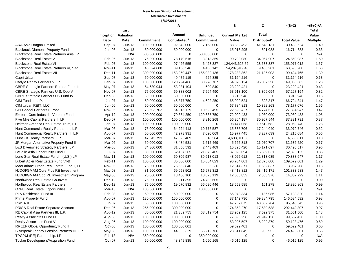|                                                |               |                            |             | Α                        |                 | B                     | C                        | $= (B + C)$        | $=(B+C)/A$      |
|------------------------------------------------|---------------|----------------------------|-------------|--------------------------|-----------------|-----------------------|--------------------------|--------------------|-----------------|
|                                                |               | Last                       |             |                          |                 |                       |                          |                    | Total           |
|                                                |               | <b>Inception Valuation</b> |             | Amount                   | <b>Unfunded</b> | <b>Current Market</b> | Total                    |                    | Value           |
|                                                | Date          | <b>Date</b>                | Commitment  | Contributed <sup>1</sup> | Commitment      | Value                 | Distributed <sup>2</sup> | <b>Total Value</b> | <b>Multiple</b> |
| ARA Asia Dragon Limited                        | Sep-07        | $Jun-13$                   | 100,000,000 | 92,842,000               | 7,158,000       | 88,882,493            | 41,548,131               | 130,430,624        | 1.40            |
| <b>Blackrock Diamond Property Fund</b>         | Jun-06        | $Jun-13$                   | 50,000,000  | 50,000,000               | $\mathbf 0$     | 15,913,295            | 801,088                  | 16,714,383         | 0.33            |
| Blackstone Real Estate Partners Asia LP        |               | N/A                        | 500,000,000 | $\mathbf 0$              | 500,000,000     | $\mathbf 0$           | $\mathbf 0$              | $\Omega$           | N/A             |
| <b>Blackstone Real Estate V</b>                | Feb-06        | $Jun-13$                   | 75,000,000  | 78,170,516               | 3,313,359       | 90,793,080            | 34,057,907               | 124,850,987        | 1.60            |
| <b>Blackstone Real Estate VI</b>               | Feb-07        | $Jun-13$                   | 100,000,000 | 97,426,555               | 6,428,327       | 124,443,625.52        | 28,633,387               | 153,077,012        | 1.57            |
| Blackstone Real Estate Partners VI, Sec        | <b>Nov-11</b> | $Jun-13$                   | 43,624,688  | 39,138,546               | 4,486,142       | 54,287,919.48         | 9,408,281                | 63,696,200         | 1.63            |
| <b>Blackstone Real Estate VII</b>              | Dec-11        | $Jun-13$                   | 300,000,000 | 153,250,447              | 155,032,136     | 178,288,862           | 21,135,903               | 199,424,765        | 1.30            |
| Capri Urban                                    | Sep-07        | $Jun-13$                   | 50,000,000  | 49,475,115               | 524,885         | 31,164,216            | 0                        | 31,164,216         | 0.63            |
| Carlyle Realty Partners V LP                   | Feb-07        | $Jun-13$                   | 100,000,000 | 120,794,466              | 38,278,707      | 54,076,124            | 95,007,258               | 149,083,382        | 1.23            |
| <b>CBRE Strategic Partners Europe Fund III</b> | May-07        | $Jun-13$                   | 54,680,944  | 53,981,104               | 699,840         | 23,220,421            | $\mathbf 0$              | 23,220,421         | 0.43            |
| CBRE Strategic Partners U.S. Opp V             | Nov-07        | $Jun-13$                   | 75,000,000  | 69,388,002               | 7,564,490       | 53,918,100            | 3,309,094                | 57,227,194         | 0.82            |
| <b>CBRE Strategic Partners US Fund IV</b>      | $Dec-05$      | $Jun-13$                   | 50,000,000  | 50,000,000               | $\mathbf 0$     | 8,915,948             | $\mathbf 0$              | 8,915,948          | 0.18            |
| CIM Fund III, L.P.                             | Jul-07        | $Jun-13$                   | 50,000,000  | 45,377,750               | 4,622,250       | 65,900,524            | 823,817                  | 66,724,341         | 1.47            |
| CIM Urban REIT, LLC                            | Jun-06        | $Jun-13$                   | 50,000,000  | 50,000,000               | $\Omega$        | 67,784,813            | 10,392,263               | 78,177,076         | 1.56            |
| <b>CPI Capital Partners Europe</b>             | Nov-06        | $Jun-13$                   | 73,503,702  | 64,915,129               | 10,628,495      | 22,620,427            | 4,774,520                | 27,394,947         | 0.42            |
| Exeter - Core Industrial Venture Fund          | Apr-12        | $Jun-13$                   | 200,000,000 | 70,364,250               | 129,635,750     | 72,000,433            | 1,980,000                | 73,980,433         | 1.05            |
| Five Mile Capital Partners II, LP              | Dec-07        | $Jun-13$                   | 100,000,000 | 100,000,000              | 8,810,268       | 56,364,187            | 30,967,544               | 87,331,731         | 0.87            |
| Heitman America Real Estate Trust, L.P.        | Jan-07        | $Jun-13$                   | 100,000,000 | 100,000,000              | $\mathbf 0$     | 108,447,058           | 19,612,682               | 128,059,740        | 1.28            |
| Hunt Commercial Realty Partners II, L.P.       | Mar-06        | $Jun-13$                   | 75,000,000  | 64,224,413               | 10,775,587      | 15,835,706            | 17,244,040               | 33,079,746         | 0.52            |
| Hunt Commercial Realty Partners III, L.P.      | Aug-07        | $Jun-13$                   | 50,000,000  | 42,973,931               | 7,026,069       | 15,977,445            | 8,237,639                | 24,215,084         | 0.56            |
| Hunt UK Realty Partners, L.P.                  | Mar-07        | $Jun-13$                   | 47,643,793  | 47,625,409               | 18,384          | 4,633,011.00          | $\mathbf 0$              | 4,633,011          | 0.10            |
| JP Morgan Alternative Property Fund II         | Mar-06        | $Jun-13$                   | 50,000,000  | 48,484,531               | 1,515,469       | 5,665,813             | 26,970,707               | 32,636,520         | 0.67            |
| L&B Diversified Strategy Partners, LP          | Mar-08        | $Jun-13$                   | 34,300,000  | 31,856,592               | 2,443,409       | 15,325,420            | 15,171,097               | 30,496,517         | 0.96            |
| LaSalle Asia Opportunity Fund III              | Jul-07        | $Jun-13$                   | 80,000,000  | 62,407,265               | 21,878,405      | 37,026,094            | 15,869,031               | 52,895,125         | 0.85            |
| Lone Star Real Estate Fund II (U.S.) LP        | May-11        | $Jun-13$                   | 100,000,000 | 60,306,987               | 39,618,013      | 48,025,612            | 22,313,035               | 70,338,647         | 1.17            |
| Lubert Adler Real Estate Fund VI-B             | Feb-11        | $Jun-13$                   | 100,000,000 | 85,000,000               | 15,664,823      | 96,704,001            | 12,875,000               | 109,579,001        | 1.29            |
| MacFarlane Urban Real Estate Fund II, LP       | Nov-06        | $Jun-13$                   | 75,000,000  | 76,652,840               | 6,236           | 12,314,371            | 1,652,837                | 13,967,208         | 0.18            |
| NJDOI/GMAM Core Plus RE Investment             | May-08        | $Jun-13$                   | 81,500,000  | 69,058,502               | 16,972,312      | 48,418,812            | 53,415,171               | 101,833,983        | 1.47            |
| NJDOI/GMAM Opp RE Investment Program           | May-08        | $Jun-13$                   | 25,000,000  | 13,400,100               | 10,873,119      | 12,508,853            | 2,353,376                | 14,862,229         | 1.11            |
| Northwood Real Estate Co-Invest                | Dec-12        | $Jun-13$                   | 75,000,000  | 211,395                  | 74,788,605      | 0                     | $\mathbf 0$              | $\Omega$           | 0.00            |
| Northwood Real Estate Partners                 | Dec-12        | $Jun-13$                   | 75,000,000  | 19,070,832               | 56,090,446      | 18,659,585            | 161,278                  | 18,820,863         | 0.99            |
| OZNJ Real Estate Opportunities, LP             | Mar-13        | N/A                        | 100,000,000 | $\Omega$                 | 100,000,000     | $\Omega$              | $\Omega$                 | $\Omega$           | N/A             |
| <b>PLA Residential Fund III</b>                | Feb-08        | $Jun-13$                   | 50,000,000  | 50,000,000               | 0               | 56,943,334            | 186,986                  | 57,130,320         | 1.14            |
| <b>Prime Property Fund</b>                     | Aug-07        | $Jun-13$                   | 130,000,000 | 150,000,000              | $\mathbf 0$     | 87,149,736            | 59,384,795               | 146,534,532        | 0.98            |
| <b>PRISA II</b>                                | Jun-07        | $Jun-13$                   | 60,000,000  | 100,000,000              | $\mathbf 0$     | 47,237,879            | 48,302,764               | 95,540,643         | 0.96            |
| PRISA Real Estate Separate Account             | Dec-06        | $Jun-13$                   | 265,000,000 | 300,000,000              | $\pmb{0}$       | 174,853,270           | 117,589,538              | 292,442,807        | 0.97            |
| RE Capital Asia Partners III, L.P.             | Aug-12        | $Jun-13$                   | 80,000,000  | 21,389,755               | 63,819,754      | 23,959,125            | 7,592,375                | 31,551,500         | 1.48            |
| Realty Associates Fund IX                      | Aug-08        | $Jun-13$                   | 100,000,000 | 100,000,000              | $\mathbf 0$     | 77,695,298            | 21,942,128               | 99,637,426         | 1.00            |
| <b>Realty Associates Fund VIII</b>             | Aug-06        | $Jun-13$                   | 100,000,000 | 100,000,000              | $\pmb{0}$       | 53,925,597            | 5,202,879                | 59,128,476         | 0.59            |
| RREEF Global Opportunity Fund II               | Oct-06        | $Jun-13$                   | 100,000,000 | 100,000,001              | $\mathbf 0$     | 59,529,401            | $\mathbf 0$              | 59,529,401         | 0.60            |
| Silverpeak Legacy Pension Partners III, L.P.   | May-08        | $Jun-13$                   | 100,000,000 | 44,586,329               | 55,219,766      | 23,511,849            | 983,952                  | 24,495,801         | 0.55            |
| TPG/NJ (RE) Partnership, LP                    | Feb-13        | N/A                        | 350,000,000 | $\mathbf 0$              | 350,000,000     | $\mathbf 0$           | 0                        | 0                  | N/A             |
| Tucker Development/Acquisition Fund            | Oct-07        | $Jun-13$                   | 50,000,000  | 48,349,835               | 1,650,165       | 46,015,125            | $\Omega$                 | 46,015,125         | 0.95            |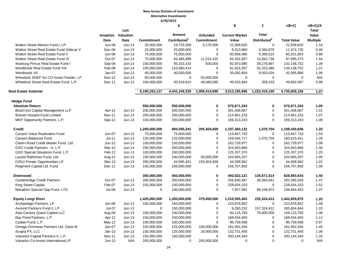|                                          |               |                            |               | А                        |                   | B                     | C                        | $= (B + C)$        | $=(B+C)/A$      |
|------------------------------------------|---------------|----------------------------|---------------|--------------------------|-------------------|-----------------------|--------------------------|--------------------|-----------------|
|                                          |               | Last                       |               |                          |                   |                       |                          |                    | Total           |
|                                          |               | <b>Inception Valuation</b> |               | Amount                   | <b>Unfunded</b>   | <b>Current Market</b> | Total                    |                    | Value           |
|                                          | Date          | Date                       | Commitment    | Contributed <sup>1</sup> | <b>Commitment</b> | Value                 | Distributed <sup>2</sup> | <b>Total Value</b> | <b>Multiple</b> |
| Walton Street Mexico Fund I. LP          | <b>Jun-08</b> | $Jun-13$                   | 25,000,000    | 19,725,000               | 5,275,000         | 22.939.620            | $\mathbf 0$              | 22.939.620         | 1.16            |
| Walton Street Real Estate Fund Sidecar V | Dec-06        | $Jun-13$                   | 25,000,000    | 25,000,000               | $\mathbf 0$       | 8,313,860             | 3,260,870                | 11,574,730         | 0.46            |
| Walton Street Real Estate Fund V         | Jun-06        | $Jun-13$                   | 75,000,000    | 75,000,000               | $\mathbf 0$       | 50,856,080            | 9,395,523                | 60,251,603         | 0.80            |
| Walton Street Real Estate Fund VI        | Oct-07        | $Jun-13$                   | 75,000,000    | 63,485,899               | 11,514,101        | 84,332,837            | 13,562,736               | 97,895,573         | 1.54            |
| Warburg Pincus Real Estate Fund I        | Sep-06        | $Jun-13$                   | 100,000,000   | 95,333,333               | 500,000           | 92,870,085            | 39,276,667               | 132,146,752        | 1.39            |
| Westbrook Real Estate Fund VIII          | Feb-08        | $Jun-13$                   | 100,000,000   | 110,980,414              | $\mathbf 0$       | 91,916,267            | 42,223,485               | 134, 139, 752      | 1.21            |
| Westbrook VII                            | Jan-07        | $Jun-13$                   | 40,000,000    | 40,000,000               | $\mathbf 0$       | 33,092,854            | 9,503,034                | 42,595,888         | 1.06            |
| Wheelock SREF NJ CO-Invest Feeder, LP    | <b>Nov-12</b> | $Jun-13$                   | 50,000,000    | 0                        | 50,000,000        | 0                     | $\mathbf 0$              | 0                  | N/A             |
| Wheelock Street Real Estate Fund, L.P.   | Dec-11        | $Jun-13$                   | 100,000,000   | 50,919,915               | 49,080,085        | 49,333,994            | 358,103                  | 49,692,097         | 0.98            |
| <b>Real Estate Subtotal</b>              |               |                            | 6,190,253,127 | 4,441,249,335            | 1,956,414,090     | 3,513,185,996         | 1,222,419,160            | 4,735,605,156      | 1.07            |
| <b>Hedge Fund</b>                        |               |                            |               |                          |                   |                       |                          |                    |                 |
| <b>Absolute Return</b>                   |               |                            | 550,000,000   | 550,000,000              | $\mathbf 0$       | 575,671,343           | $\mathbf 0$              | 575,671,343        | 1.05            |
| <b>BlueCrest Capital Management LLP</b>  | Apr-12        | $Jun-13$                   | 200,000,000   | 200,000,000              | $\pmb{0}$         | 201,406,867           | 0                        | 201,406,867        | 1.01            |
| Brevan Howard Fund Limited               | <b>Nov-11</b> | $Jun-13$                   | 200,000,000   | 200,000,000              | 0                 | 214,951,233           | 0                        | 214,951,233        | 1.07            |
| MKP Opportunity Partners, L.P.           | Sep-12        | $Jun-13$                   | 150,000,000   | 150,000,000              | $\mathbf 0$       | 159,313,243           | 0                        | 159,313,243        | 1.06            |
| Credit                                   |               |                            | 1,200,000,000 | 994,595,341              | 205,404,659       | 1,197,360,132         | 1,070,704                | 1,198,430,836      | 1.20            |
| Canyon Value Realization Fund            | Jun-07        | $Jun-13$                   | 75,000,000    | 75,000,000               | $\mathbf 0$       | 115,647,733           | $\mathbf 0$              | 115,647,733        | 1.54            |
| Canyon Balanced Fund                     | $Jul-11$      | $Jun-13$                   | 125,000,000   | 125,000,000              | $\pmb{0}$         | 159,544,717           | 1,070,704                | 160,615,421        | 1.28            |
| Claren Road Credit Master Fund, Ltd.     | Jun-12        | $Jun-13$                   | 150,000,000   | 150,000,000              | $\mathbf 0$       | 162,729,977           | 0                        | 162,729,977        | 1.08            |
| GSO Credit Partners - A, L.P.            | Mar-12        | $Jun-13$                   | 250,000,000   | 250,000,000              | $\mathbf 0$       | 324,503,666           | 0                        | 324,503,666        | 1.30            |
| GSO Special Situations Fund, L.P.        | Feb-12        | $Jun-13$                   | 100,000,000   | 100,000,000              | $\mathbf 0$       | 125,337,370           | $\pmb{0}$                | 125,337,370        | 1.25            |
| Lazard Rathmore Fund, Ltd.               | Aug-12        | $Jun-13$                   | 150,000,000   | 100,000,000              | 50,000,000        | 104,950,257           | $\pmb{0}$                | 104,950,257        | 1.05            |
| OZNJ Private Opportunities LP            | Mar-13        | $Jun-13$                   | 200,000,000   | 44,595,341               | 155,404,659       | 44,938,562            | $\mathbf 0$              | 44,938,562         | 1.01            |
| Regiment Capital Ltd. Fund               | Dec-11        | $Jun-13$                   | 150,000,000   | 150,000,000              | $\mathbf 0$       | 159,707,850           | $\Omega$                 | 159,707,850        | 1.06            |
| <b>Distressed</b>                        |               |                            | 350,000,000   | 450,000,000              | $\mathbf 0$       | 493,022,121           | 135,671,514              | 628,693,634        | 1.40            |
| <b>Centerbridge Credit Partners</b>      | Oct-07        | $Jun-13$                   | 200,000,000   | 200,000,000              | $\mathbf 0$       | 256,830,387           | 36,564,641               | 293,395,028        | 1.47            |
| <b>King Street Capital</b>               | Feb-07        | $Jun-13$                   | 150,000,000   | 150,000,000              | $\mathbf 0$       | 228,634,153           | $\mathbf 0$              | 228,634,153        | 1.52            |
| Marathon Special Opp Fund, LTD           | Jul-08        | $Jun-13$                   | $\mathbf 0$   | 100,000,000              | $\mathbf 0$       | 7,557,581             | 99,106,873               | 106,664,453        | 1.07            |
| <b>Equity Long/ Short</b>                |               |                            | 1,425,000,000 | 1,200,000,000            | 375,000,000       | 1,210,505,463         | 232,324,412              | 1,442,829,875      | 1.20            |
| Archipelago Partners, LP                 | Jun-06        | $Jun-13$                   | 150,000,000   | 150,000,000              | $\mathbf 0$       | 223,878,802           | $\mathbf 0$              | 223,878,802        | 1.49            |
| Ascend Partners Fund II, LP              | Jul-07        | $Jun-13$                   | $\mathbf 0$   | 150,000,000              | $\pmb{0}$         | 8,280,232             | 157,324,412              | 165,604,644        | 1.10            |
| Asia Century Quest Capital LLC           | Aug-08        | $Jun-13$                   | 150,000,000   | 150,000,000              | $\mathbf 0$       | 84,115,783            | 75,000,000               | 159,115,783        | 1.06            |
| Bay Pond Partners, L.P.                  | Apr-12        | $Jun-13$                   | 150,000,000   | 150,000,000              | $\mathbf 0$       | 168,434,450           | $\mathbf 0$              | 168,434,450        | 1.12            |
| Cadian Fund, L.P.                        | May-12        | $Jun-13$                   | 100,000,000   | 100,000,000              | $\mathbf 0$       | 96,759,598            | $\mathbf 0$              | 96,759,598         | 0.97            |
| Omega Overseas Partners Ltd. Class-B     | Jan-07        | $Jun-13$                   | 225,000,000   | 125,000,000              | 100,000,000       | 181,052,264           | 0                        | 181,052,264        | 1.45            |
| Scopia PX, LLC                           | $Jan-13$      | $Jun-13$                   | 150,000,000   | 125,000,000              | 25,000,000        | 132,731,458           | $\mathbf 0$              | 132,731,458        | 1.06            |
| ValueAct Capital Partners II, L.P.       | <b>Nov-11</b> | $Jun-13$                   | 150,000,000   | 150,000,000              | $\Omega$          | 200,144,344           | 0                        | 200,144,344        | 1.33            |
| ValueAct Co-Invest International LP      | $Jun-13$      | N/A                        | 200,000,000   | 0                        | 200,000,000       | $\mathbf 0$           | $\mathbf 0$              | $\mathbf 0$        | N/A             |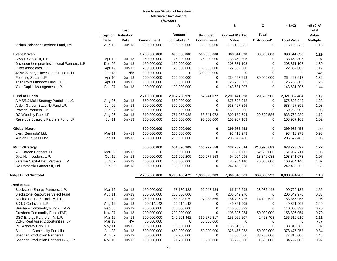|                                              |               | Last                       |               | A                        |                   | В                     | C                        | $= (B+C)$          | $=(B+C)/A$<br>Total |
|----------------------------------------------|---------------|----------------------------|---------------|--------------------------|-------------------|-----------------------|--------------------------|--------------------|---------------------|
|                                              |               | <b>Inception Valuation</b> |               | Amount                   | <b>Unfunded</b>   | <b>Current Market</b> | <b>Total</b>             |                    | Value               |
|                                              | <b>Date</b>   | <b>Date</b>                | Commitment    | Contributed <sup>1</sup> | <b>Commitment</b> | Value                 | Distributed <sup>2</sup> | <b>Total Value</b> | <b>Multiple</b>     |
| Visium Balanced Offshore Fund, Ltd           | Aug-12        | $Jun-13$                   | 150,000,000   | 100,000,000              | 50,000,000        | 115,108,532           | $\mathbf 0$              | 115,108,532        | 1.15                |
| <b>Event Driven</b>                          |               |                            | 1,200,000,000 | 695,000,000              | 505,000,000       | 868,541,038           | 30,000,000               | 898,541,038        | 1.29                |
| Cevian Capital II, L.P.                      | Apr-12        | $Jun-13$                   | 150,000,000   | 125,000,000              | 25,000,000        | 133,450,305           | 0                        | 133,450,305        | 1.07                |
| Davidson Kempner Institutional Partners, L.P | Dec-06        | $Jun-13$                   | 150,000,000   | 150,000,000              | $\Omega$          | 208,871,108           | 0                        | 208,871,108        | 1.39                |
| Elliott Associates, L.P.                     | Apr-12        | $Jun-13$                   | 200,000,000   | 20,000,000               | 180,000,000       | 22,382,000            | $\mathbf 0$              | 22,382,000         | 1.12                |
| JANA Strategic Investment Fund II, LP        | $Jun-13$      | N/A                        | 300,000,000   | $\Omega$                 | 300,000,000       | $\mathbf 0$           | $\mathbf 0$              | $\Omega$           | N/A                 |
| Pershing Square LP                           | Apr-10        | $Jun-13$                   | 200,000,000   | 200,000,000              | 0                 | 234,467,613           | 30,000,000               | 264,467,613        | 1.32                |
| Third Point Offshore Fund, LTD.              | Apr-11        | $Jun-13$                   | 100,000,000   | 100,000,000              | 0                 | 125,738,805           | $\mathbf 0$              | 125,738,805        | 1.26                |
| York Capital Management, LP                  | Feb-07        | $Jun-13$                   | 100,000,000   | 100,000,000              | 0                 | 143,631,207           | $\mathbf 0$              | 143,631,207        | 1.44                |
| <b>Fund of Funds</b>                         |               |                            | 2,210,000,000 | 2,057,758,928            | 152,241,072       | 2,291,471,898         | 29,590,586               | 2,321,062,484      | 1.13                |
| AIMS/NJ Multi-Strategy Portfolio, LLC        | Aug-06        | $Jun-13$                   | 550,000,000   | 550,000,000              | 0                 | 675,628,242           | $\mathbf 0$              | 675,628,242        | 1.23                |
| Arden Garden State NJ Fund LP.               | Jun-06        | $Jun-13$                   | 500,000,000   | 500,000,000              | 0                 | 538,467,895           | $\pmb{0}$                | 538,467,895        | 1.08                |
| Protege Partners, LP                         | <b>Jun-07</b> | $Jun-13$                   | 150,000,000   | 150,000,000              | 0                 | 159,235,905           | $\Omega$                 | 159,235,905        | 1.06                |
| RC Woodley Park, LP                          | Aug-06        | $Jun-13$                   | 810,000,000   | 751,258,928              | 58,741,072        | 809,172,694           | 29,590,586               | 838,763,280        | 1.12                |
| Reservoir Strategic Partners Fund, LP        | $Jul-11$      | Jun-13                     | 200,000,000   | 106,500,000              | 93,500,000        | 108,967,163           | 0                        | 108,967,163        | 1.02                |
| <b>Global Macro</b>                          |               |                            | 300,000,000   | 300,000,000              | 0                 | 299,986,453           | $\mathbf 0$              | 299,986,453        | 1.00                |
| Lynx (Bermuda) Ltd.                          | Mar-11        | $Jun-13$                   | 100,000,000   | 100,000,000              | $\mathsf 0$       | 93,413,973            | $\mathbf 0$              | 93,413,973         | 0.93                |
| Winton Futures Fund                          | $Jan-11$      | $Jun-13$                   | 200,000,000   | 200,000,000              | $\Omega$          | 206,572,480           | $\Omega$                 | 206,572,480        | 1.03                |
| <b>Multi-Strategy</b>                        |               |                            | 500,000,000   | 551,096,209              | 100,977,558       | 432,782,514           | 240,996,083              | 673,778,597        | 1.22                |
| AG Garden Partners, LP                       | Mar-06        | $Jun-13$                   | $\Omega$      | 150,000,000              | $\Omega$          | 9,337,711             | 152,650,000              | 161,987,711        | 1.08                |
| Dyal NJ Investors, L.P.                      | Oct-12        | $Jun-13$                   | 200,000,000   | 101,096,209              | 100,977,558       | 94,994,995            | 13,346,083               | 108,341,078        | 1.07                |
| Farallon Capital Inst. Partners, L.P.        | Jun-07        | $Jun-13$                   | 150,000,000   | 150,000,000              | 0                 | 85,984,140            | 75,000,000               | 160,984,140        | 1.07                |
| OZ Domestic Partners II, Ltd.                | Jun-06        | $Jun-13$                   | 150,000,000   | 150,000,000              | 0                 | 242,465,668           | $\Omega$                 | 242,465,668        | 1.62                |
| <b>Hedge Fund Subtotal</b>                   |               |                            | 7,735,000,000 | 6,798,450,479            | 1,338,623,289     | 7,369,340,961         | 669,653,299              | 8,038,994,260      | 1.18                |
| <b>Real Assets</b>                           |               |                            |               |                          |                   |                       |                          |                    |                     |
| Blackstone Energy Partners, L.P.             | Mar-12        | $Jun-13$                   | 150,000,000   | 58,180,422               | 92,043,434        | 66,746,693            | 23,982,442               | 90,729,135         | 1.56                |
| <b>Blackstone Resources Select Fund</b>      | Aug-11        | $Jun-13$                   | 250,000,000   | 250,000,000              | 0                 | 206,649,970           | $\mathbf 0$              | 206,649,970        | 0.83                |
| Blackstone TOP Fund - A, L.P.                | <b>Jul-12</b> | $Jun-13$                   | 250,000,000   | 158,828,079              | 97,983,565        | 154,726,426           | 14,129,529               | 168,855,955        | 1.06                |
| BX NJ Co-Invest, L.P.                        | Aug-12        | $Jun-13$                   | 20,014,142    | 20,014,142               | 0                 | 49,861,905            | $\mathbf 0$              | 49,861,905         | 2.49                |
| Gresham Commodity Fund (ETAP)                | Feb-08        | $Jun-13$                   | 200,000,000   | 200,000,000              | 0                 | 140,006,333           | $\mathbf 0$              | 140,006,333        | 0.70                |
| Gresham Commodity Fund (TAP)                 | Nov-07        | $Jun-13$                   | 200,000,000   | 200,000,000              | 0                 | 108,806,054           | 50,000,000               | 158,806,054        | 0.79                |
| GSO Energy Partners - A, L.P.                | Mar-12        | $Jun-13$                   | 500,000,000   | 140,601,462              | 360,276,317       | 153,066,207           | 2,453,403                | 155,519,610        | 1.11                |
| OZNJ Real Asset Opportunities, LP            | Mar-13        | N/A                        | 50,000,000    | $\Omega$                 | 50,000,000        | $\Omega$              | 0                        | $\Omega$           | N/A                 |
| RC Woodley Park, L.P.                        | May-11        | $Jun-13$                   | 135,000,000   | 135,000,000              | $\mathbf 0$       | 138,315,582           | $\mathbf 0$              | 138,315,582        | 1.02                |
| <b>Schroders Commodity Portfolio</b>         | Jan-08        | $Jun-13$                   | 500,000,000   | 450,000,000              | 50,000,000        | 328,475,253           | 50,000,000               | 378,475,253        | 0.84                |
| <b>Sheridan Production Partners I</b>        | Aug-07        | $Jun-13$                   | 50,000,000    | 52,250,000               | 0                 | 43,565,000            | 33,750,000               | 77,315,000         | 1.48                |
| Sheridan Production Partners II-B, L.P       | <b>Nov-10</b> | $Jun-13$                   | 100,000,000   | 91,750,000               | 8,250,000         | 83,292,000            | 1,500,000                | 84,792,000         | 0.92                |
|                                              |               |                            |               |                          |                   |                       |                          |                    |                     |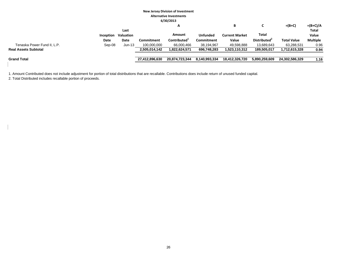|                             |           |                  |                | A                        |               | В                     |                          | $= (B+C)$          | $=(B+C)/A$      |
|-----------------------------|-----------|------------------|----------------|--------------------------|---------------|-----------------------|--------------------------|--------------------|-----------------|
|                             |           | Last             |                |                          |               |                       |                          |                    | <b>Total</b>    |
|                             | Inception | <b>Valuation</b> |                | Amount                   | Unfunded      | <b>Current Market</b> | Total                    |                    | Value           |
|                             | Date      | Date             | Commitment     | Contributed <sup>1</sup> | Commitment    | Value                 | Distributed <sup>4</sup> | <b>Total Value</b> | <b>Multiple</b> |
| Tenaska Power Fund II, L.P. | Sep-08    | $Jun-13$         | 100,000,000    | 66,000,466               | 38,194,967    | 49,598,888            | 13.689.643               | 63,288,531         | 0.96            |
| <b>Real Assets Subtotal</b> |           |                  | 2,505,014,142  | 1,822,624,571            | 696,748,283   | 1,523,110,312         | 189,505,017              | 1,712,615,328      | 0.94            |
| <b>Grand Total</b>          |           |                  | 27,412,896,630 | 20,874,723,344           | 8,140,993,334 | 18,412,326,720        | 5.890.259.609            | 24.302.586.329     | 1.16            |

1. Amount Contributed does not include adjustment for portion of total distributions that are recallable. Contributions does include return of unused funded capital.

2. Total Distributed includes recallable portion of proceeds.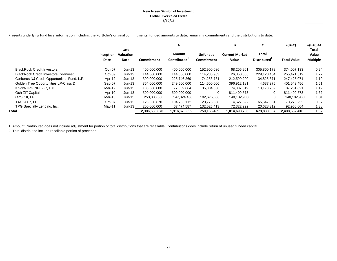#### **New Jersey Division of Investment Global Diversifiied Credit 6/30/13**

Presents underlying fund level information including the Portfolio's original commitments, funded amounts to date, remaining commitments and the distributions to date.

|                                             |                   |                                  |               | Α                                  |                                      | В                              | C                                 | $=(B+C)$           | $=(B+C)/A$                        |
|---------------------------------------------|-------------------|----------------------------------|---------------|------------------------------------|--------------------------------------|--------------------------------|-----------------------------------|--------------------|-----------------------------------|
|                                             | Inception<br>Date | Last<br><b>Valuation</b><br>Date | Commitment    | Amount<br>Contributed <sup>1</sup> | <b>Unfunded</b><br><b>Commitment</b> | <b>Current Market</b><br>Value | Total<br>Distributed <sup>2</sup> | <b>Total Value</b> | Total<br>Value<br><b>Multiple</b> |
| <b>BlackRock Credit Investors</b>           | Oct-07            | $Jun-13$                         | 400.000.000   | 400,000,000                        | 152,900,086                          | 68,206,961                     | 305,800,172                       | 374,007,133        | 0.94                              |
| <b>BlackRock Credit Investors Co-Invest</b> | $Oct-09$          | $Jun-13$                         | 144.000.000   | 144,000,000                        | 114,230,983                          | 26,350,855                     | 229,120,464                       | 255,471,319        | 1.77                              |
| Cerberus NJ Credit Opportunities Fund, L.P. | Apr-12            | Jun-13                           | 300.000.000   | 225.746.269                        | 74.253.731                           | 212,599,200                    | 34,825,871                        | 247.425.071        | 1.10                              |
| Golden Tree Opportunities LP-Class D        | Sep-07            | Jun-13                           | 364,000,000   | 249,500,000                        | 114,500,000                          | 396,912,181                    | 4,637,275                         | 401,549,456        | 1.61                              |
| Knight/TPG NPL - C, L.P.                    | Mar-12            | $Jun-13$                         | 100,000,000   | 77,869,664                         | 35,304,038                           | 74.087.319                     | 13,173,702                        | 87,261,021         | 1.12                              |
| Och Ziff Capital                            | Apr-10            | Jun-13                           | 500.000.000   | 500,000,000                        | $\Omega$                             | 811,409,573                    | $\Omega$                          | 811.409.573        | 1.62                              |
| OZSC II, LP                                 | Mar-13            | $Jun-13$                         | 250,000,000   | 147,324,400                        | 102,675,600                          | 148,182,980                    |                                   | 148,182,980        | 1.01                              |
| <b>TAC 2007, LP</b>                         | Oct-07            | $Jun-13$                         | 128.530.670   | 104.755.112                        | 23,775,558                           | 4,627,392                      | 65.647.861                        | 70,275,253         | 0.67                              |
| TPG Specialty Lending, Inc.                 | May-11            | $Jun-13$                         | 200,000,000   | 67,474,587                         | 132,525,413                          | 72,322,292                     | 20,628,312                        | 92,950,604         | 1.38                              |
| Total                                       |                   |                                  | 2,386,530,670 | 1,916,670,032                      | 750.165.409                          | 1,814,698,753                  | 673,833,657                       | 2,488,532,410      | 1.32                              |

1. Amount Contributed does not include adjustment for portion of total distributions that are recallable. Contributions does include return of unused funded capital.

2. Total distributed include recallable portion of proceeds.